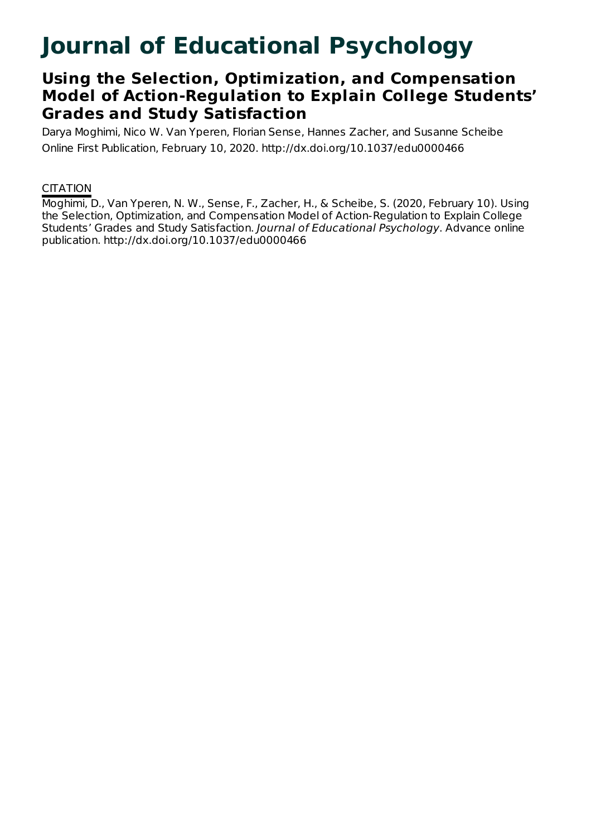# **Journal of Educational Psychology**

## **Using the Selection, Optimization, and Compensation Model of Action-Regulation to Explain College Students' Grades and Study Satisfaction**

Darya Moghimi, Nico W. Van Yperen, Florian Sense, Hannes Zacher, and Susanne Scheibe Online First Publication, February 10, 2020. http://dx.doi.org/10.1037/edu0000466

### **CITATION**

Moghimi, D., Van Yperen, N. W., Sense, F., Zacher, H., & Scheibe, S. (2020, February 10). Using the Selection, Optimization, and Compensation Model of Action-Regulation to Explain College Students' Grades and Study Satisfaction. Journal of Educational Psychology. Advance online publication. http://dx.doi.org/10.1037/edu0000466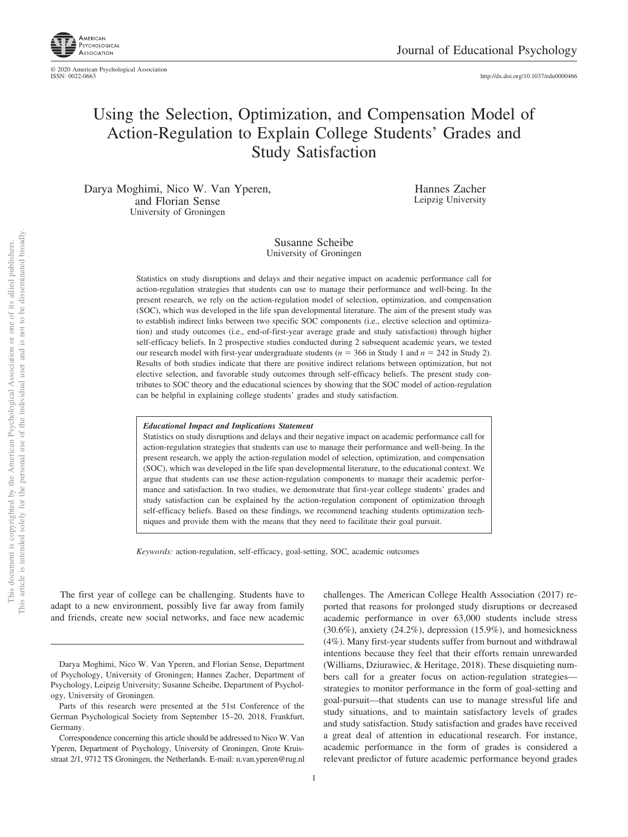

http://dx.doi.org[/10.1037/edu0000466](http://dx.doi.org/10.1037/edu0000466)

### Using the Selection, Optimization, and Compensation Model of Action-Regulation to Explain College Students' Grades and Study Satisfaction

Darya Moghimi, Nico W. Van Yperen, and Florian Sense University of Groningen

Hannes Zacher Leipzig University

#### Susanne Scheibe University of Groningen

Statistics on study disruptions and delays and their negative impact on academic performance call for action-regulation strategies that students can use to manage their performance and well-being. In the present research, we rely on the action-regulation model of selection, optimization, and compensation (SOC), which was developed in the life span developmental literature. The aim of the present study was to establish indirect links between two specific SOC components (i.e., elective selection and optimization) and study outcomes (i.e., end-of-first-year average grade and study satisfaction) through higher self-efficacy beliefs. In 2 prospective studies conducted during 2 subsequent academic years, we tested our research model with first-year undergraduate students  $(n = 366$  in Study 1 and  $n = 242$  in Study 2). Results of both studies indicate that there are positive indirect relations between optimization, but not elective selection, and favorable study outcomes through self-efficacy beliefs. The present study contributes to SOC theory and the educational sciences by showing that the SOC model of action-regulation can be helpful in explaining college students' grades and study satisfaction.

#### *Educational Impact and Implications Statement*

Statistics on study disruptions and delays and their negative impact on academic performance call for action-regulation strategies that students can use to manage their performance and well-being. In the present research, we apply the action-regulation model of selection, optimization, and compensation (SOC), which was developed in the life span developmental literature, to the educational context. We argue that students can use these action-regulation components to manage their academic performance and satisfaction. In two studies, we demonstrate that first-year college students' grades and study satisfaction can be explained by the action-regulation component of optimization through self-efficacy beliefs. Based on these findings, we recommend teaching students optimization techniques and provide them with the means that they need to facilitate their goal pursuit.

*Keywords:* action-regulation, self-efficacy, goal-setting, SOC, academic outcomes

The first year of college can be challenging. Students have to adapt to a new environment, possibly live far away from family and friends, create new social networks, and face new academic challenges. The American College Health Association (2017) reported that reasons for prolonged study disruptions or decreased academic performance in over 63,000 students include stress (30.6%), anxiety (24.2%), depression (15.9%), and homesickness (4%). Many first-year students suffer from burnout and withdrawal intentions because they feel that their efforts remain unrewarded (Williams, Dziurawiec, & Heritage, 2018). These disquieting numbers call for a greater focus on action-regulation strategies strategies to monitor performance in the form of goal-setting and goal-pursuit—that students can use to manage stressful life and study situations, and to maintain satisfactory levels of grades and study satisfaction. Study satisfaction and grades have received a great deal of attention in educational research. For instance, academic performance in the form of grades is considered a relevant predictor of future academic performance beyond grades

Darya Moghimi, Nico W. Van Yperen, and Florian Sense, Department of Psychology, University of Groningen; Hannes Zacher, Department of Psychology, Leipzig University; Susanne Scheibe, Department of Psychology, University of Groningen.

Parts of this research were presented at the 51st Conference of the German Psychological Society from September 15–20, 2018, Frankfurt, Germany.

Correspondence concerning this article should be addressed to Nico W. Van Yperen, Department of Psychology, University of Groningen, Grote Kruisstraat 2/1, 9712 TS Groningen, the Netherlands. E-mail: [n.van.yperen@rug.nl](mailto:n.van.yperen@rug.nl)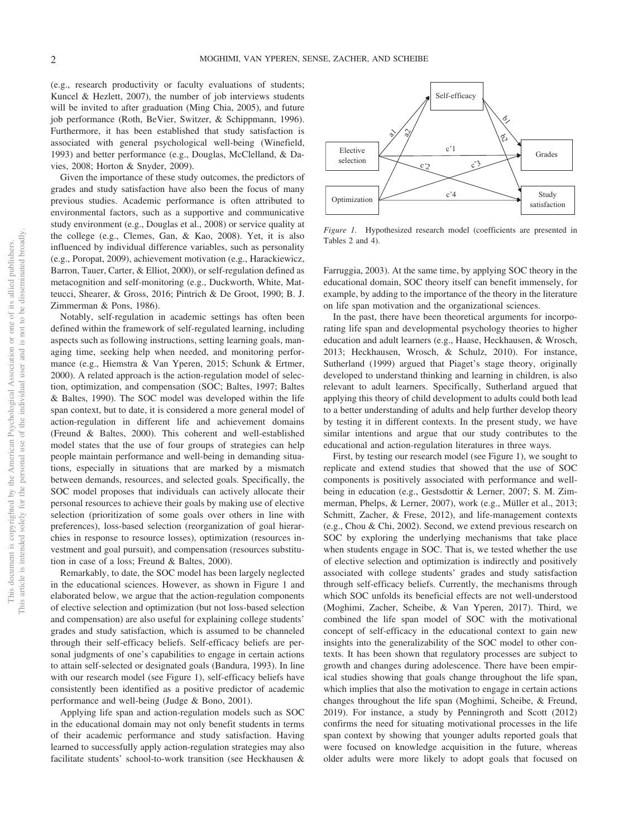(e.g., research productivity or faculty evaluations of students; Kuncel & Hezlett, 2007), the number of job interviews students will be invited to after graduation (Ming Chia, 2005), and future job performance (Roth, BeVier, Switzer, & Schippmann, 1996). Furthermore, it has been established that study satisfaction is associated with general psychological well-being (Winefield, 1993) and better performance (e.g., Douglas, McClelland, & Davies, 2008; Horton & Snyder, 2009).

Given the importance of these study outcomes, the predictors of grades and study satisfaction have also been the focus of many previous studies. Academic performance is often attributed to environmental factors, such as a supportive and communicative study environment (e.g., Douglas et al., 2008) or service quality at the college (e.g., Clemes, Gan, & Kao, 2008). Yet, it is also influenced by individual difference variables, such as personality (e.g., Poropat, 2009), achievement motivation (e.g., Harackiewicz, Barron, Tauer, Carter, & Elliot, 2000), or self-regulation defined as metacognition and self-monitoring (e.g., Duckworth, White, Matteucci, Shearer, & Gross, 2016; Pintrich & De Groot, 1990; B. J. Zimmerman & Pons, 1986).

Notably, self-regulation in academic settings has often been defined within the framework of self-regulated learning, including aspects such as following instructions, setting learning goals, managing time, seeking help when needed, and monitoring performance (e.g., Hiemstra & Van Yperen, 2015; Schunk & Ertmer, 2000). A related approach is the action-regulation model of selection, optimization, and compensation (SOC; Baltes, 1997; Baltes & Baltes, 1990). The SOC model was developed within the life span context, but to date, it is considered a more general model of action-regulation in different life and achievement domains (Freund & Baltes, 2000). This coherent and well-established model states that the use of four groups of strategies can help people maintain performance and well-being in demanding situations, especially in situations that are marked by a mismatch between demands, resources, and selected goals. Specifically, the SOC model proposes that individuals can actively allocate their personal resources to achieve their goals by making use of elective selection (prioritization of some goals over others in line with preferences), loss-based selection (reorganization of goal hierarchies in response to resource losses), optimization (resources investment and goal pursuit), and compensation (resources substitution in case of a loss; Freund & Baltes, 2000).

Remarkably, to date, the SOC model has been largely neglected in the educational sciences. However, as shown in [Figure 1](#page-2-0) and elaborated below, we argue that the action-regulation components of elective selection and optimization (but not loss-based selection and compensation) are also useful for explaining college students' grades and study satisfaction, which is assumed to be channeled through their self-efficacy beliefs. Self-efficacy beliefs are personal judgments of one's capabilities to engage in certain actions to attain self-selected or designated goals (Bandura, 1993). In line with our research model (see [Figure 1\)](#page-2-0), self-efficacy beliefs have consistently been identified as a positive predictor of academic performance and well-being (Judge & Bono, 2001).

Applying life span and action-regulation models such as SOC in the educational domain may not only benefit students in terms of their academic performance and study satisfaction. Having learned to successfully apply action-regulation strategies may also facilitate students' school-to-work transition (see Heckhausen &



<span id="page-2-0"></span>*Figure 1.* Hypothesized research model (coefficients are presented in [Tables 2](#page-8-0) and [4\)](#page-10-0).

Farruggia, 2003). At the same time, by applying SOC theory in the educational domain, SOC theory itself can benefit immensely, for example, by adding to the importance of the theory in the literature on life span motivation and the organizational sciences.

In the past, there have been theoretical arguments for incorporating life span and developmental psychology theories to higher education and adult learners (e.g., Haase, Heckhausen, & Wrosch, 2013; Heckhausen, Wrosch, & Schulz, 2010). For instance, Sutherland (1999) argued that Piaget's stage theory, originally developed to understand thinking and learning in children, is also relevant to adult learners. Specifically, Sutherland argued that applying this theory of child development to adults could both lead to a better understanding of adults and help further develop theory by testing it in different contexts. In the present study, we have similar intentions and argue that our study contributes to the educational and action-regulation literatures in three ways.

First, by testing our research model (see [Figure 1\)](#page-2-0), we sought to replicate and extend studies that showed that the use of SOC components is positively associated with performance and wellbeing in education (e.g., Gestsdottir & Lerner, 2007; [S. M. Zim](#page-16-0)[merman, Phelps, & Lerner, 2007\)](#page-16-0), work (e.g., Müller et al., 2013; Schmitt, Zacher, & Frese, 2012), and life-management contexts (e.g., [Chou & Chi, 2002\)](#page-13-0). Second, we extend previous research on SOC by exploring the underlying mechanisms that take place when students engage in SOC. That is, we tested whether the use of elective selection and optimization is indirectly and positively associated with college students' grades and study satisfaction through self-efficacy beliefs. Currently, the mechanisms through which SOC unfolds its beneficial effects are not well-understood (Moghimi, Zacher, Scheibe, & Van Yperen, 2017). Third, we combined the life span model of SOC with the motivational concept of self-efficacy in the educational context to gain new insights into the generalizability of the SOC model to other contexts. It has been shown that regulatory processes are subject to growth and changes during adolescence. There have been empirical studies showing that goals change throughout the life span, which implies that also the motivation to engage in certain actions changes throughout the life span (Moghimi, Scheibe, & Freund, 2019). For instance, a study by Penningroth and Scott (2012) confirms the need for situating motivational processes in the life span context by showing that younger adults reported goals that were focused on knowledge acquisition in the future, whereas older adults were more likely to adopt goals that focused on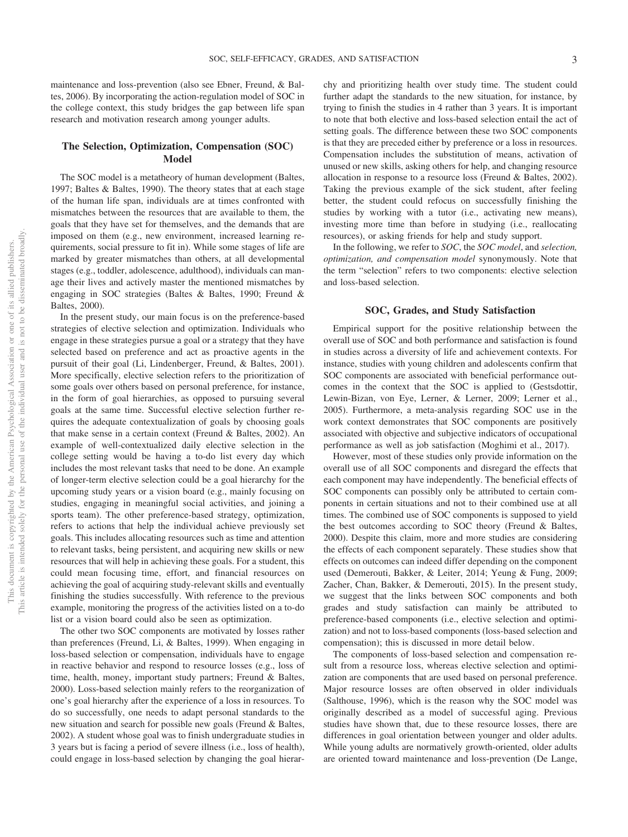maintenance and loss-prevention (also see Ebner, Freund, & Baltes, 2006). By incorporating the action-regulation model of SOC in the college context, this study bridges the gap between life span research and motivation research among younger adults.

#### **The Selection, Optimization, Compensation (SOC) Model**

The SOC model is a metatheory of human development (Baltes, 1997; Baltes & Baltes, 1990). The theory states that at each stage of the human life span, individuals are at times confronted with mismatches between the resources that are available to them, the goals that they have set for themselves, and the demands that are imposed on them (e.g., new environment, increased learning requirements, social pressure to fit in). While some stages of life are marked by greater mismatches than others, at all developmental stages (e.g., toddler, adolescence, adulthood), individuals can manage their lives and actively master the mentioned mismatches by engaging in SOC strategies (Baltes & Baltes, 1990; Freund & Baltes, 2000).

In the present study, our main focus is on the preference-based strategies of elective selection and optimization. Individuals who engage in these strategies pursue a goal or a strategy that they have selected based on preference and act as proactive agents in the pursuit of their goal (Li, Lindenberger, Freund, & Baltes, 2001). More specifically, elective selection refers to the prioritization of some goals over others based on personal preference, for instance, in the form of goal hierarchies, as opposed to pursuing several goals at the same time. Successful elective selection further requires the adequate contextualization of goals by choosing goals that make sense in a certain context (Freund & Baltes, 2002). An example of well-contextualized daily elective selection in the college setting would be having a to-do list every day which includes the most relevant tasks that need to be done. An example of longer-term elective selection could be a goal hierarchy for the upcoming study years or a vision board (e.g., mainly focusing on studies, engaging in meaningful social activities, and joining a sports team). The other preference-based strategy, optimization, refers to actions that help the individual achieve previously set goals. This includes allocating resources such as time and attention to relevant tasks, being persistent, and acquiring new skills or new resources that will help in achieving these goals. For a student, this could mean focusing time, effort, and financial resources on achieving the goal of acquiring study-relevant skills and eventually finishing the studies successfully. With reference to the previous example, monitoring the progress of the activities listed on a to-do list or a vision board could also be seen as optimization.

The other two SOC components are motivated by losses rather than preferences (Freund, Li, & Baltes, 1999). When engaging in loss-based selection or compensation, individuals have to engage in reactive behavior and respond to resource losses (e.g., loss of time, health, money, important study partners; Freund & Baltes, 2000). Loss-based selection mainly refers to the reorganization of one's goal hierarchy after the experience of a loss in resources. To do so successfully, one needs to adapt personal standards to the new situation and search for possible new goals (Freund & Baltes, 2002). A student whose goal was to finish undergraduate studies in 3 years but is facing a period of severe illness (i.e., loss of health), could engage in loss-based selection by changing the goal hierarchy and prioritizing health over study time. The student could further adapt the standards to the new situation, for instance, by trying to finish the studies in 4 rather than 3 years. It is important to note that both elective and loss-based selection entail the act of setting goals. The difference between these two SOC components is that they are preceded either by preference or a loss in resources. Compensation includes the substitution of means, activation of unused or new skills, asking others for help, and changing resource allocation in response to a resource loss (Freund & Baltes, 2002). Taking the previous example of the sick student, after feeling better, the student could refocus on successfully finishing the studies by working with a tutor (i.e., activating new means), investing more time than before in studying (i.e., reallocating resources), or asking friends for help and study support.

In the following, we refer to *SOC*, the *SOC model*, and *selection, optimization, and compensation model* synonymously. Note that the term "selection" refers to two components: elective selection and loss-based selection.

#### **SOC, Grades, and Study Satisfaction**

Empirical support for the positive relationship between the overall use of SOC and both performance and satisfaction is found in studies across a diversity of life and achievement contexts. For instance, studies with young children and adolescents confirm that SOC components are associated with beneficial performance outcomes in the context that the SOC is applied to (Gestsdottir, Lewin-Bizan, von Eye, Lerner, & Lerner, 2009; Lerner et al., 2005). Furthermore, a meta-analysis regarding SOC use in the work context demonstrates that SOC components are positively associated with objective and subjective indicators of occupational performance as well as job satisfaction (Moghimi et al., 2017).

However, most of these studies only provide information on the overall use of all SOC components and disregard the effects that each component may have independently. The beneficial effects of SOC components can possibly only be attributed to certain components in certain situations and not to their combined use at all times. The combined use of SOC components is supposed to yield the best outcomes according to SOC theory (Freund & Baltes, 2000). Despite this claim, more and more studies are considering the effects of each component separately. These studies show that effects on outcomes can indeed differ depending on the component used (Demerouti, Bakker, & Leiter, 2014; Yeung & Fung, 2009; Zacher, Chan, Bakker, & Demerouti, 2015). In the present study, we suggest that the links between SOC components and both grades and study satisfaction can mainly be attributed to preference-based components (i.e., elective selection and optimization) and not to loss-based components (loss-based selection and compensation); this is discussed in more detail below.

The components of loss-based selection and compensation result from a resource loss, whereas elective selection and optimization are components that are used based on personal preference. Major resource losses are often observed in older individuals (Salthouse, 1996), which is the reason why the SOC model was originally described as a model of successful aging. Previous studies have shown that, due to these resource losses, there are differences in goal orientation between younger and older adults. While young adults are normatively growth-oriented, older adults are oriented toward maintenance and loss-prevention (De Lange,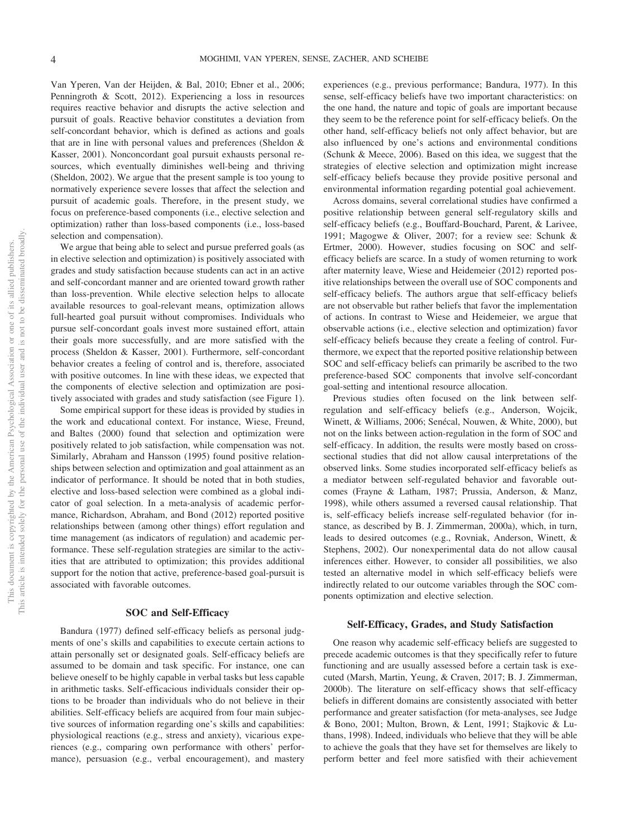Van Yperen, Van der Heijden, & Bal, 2010; Ebner et al., 2006; Penningroth & Scott, 2012). Experiencing a loss in resources requires reactive behavior and disrupts the active selection and pursuit of goals. Reactive behavior constitutes a deviation from self-concordant behavior, which is defined as actions and goals that are in line with personal values and preferences (Sheldon & Kasser, 2001). Nonconcordant goal pursuit exhausts personal resources, which eventually diminishes well-being and thriving (Sheldon, 2002). We argue that the present sample is too young to normatively experience severe losses that affect the selection and pursuit of academic goals. Therefore, in the present study, we focus on preference-based components (i.e., elective selection and optimization) rather than loss-based components (i.e., loss-based selection and compensation).

We argue that being able to select and pursue preferred goals (as in elective selection and optimization) is positively associated with grades and study satisfaction because students can act in an active and self-concordant manner and are oriented toward growth rather than loss-prevention. While elective selection helps to allocate available resources to goal-relevant means, optimization allows full-hearted goal pursuit without compromises. Individuals who pursue self-concordant goals invest more sustained effort, attain their goals more successfully, and are more satisfied with the process (Sheldon & Kasser, 2001). Furthermore, self-concordant behavior creates a feeling of control and is, therefore, associated with positive outcomes. In line with these ideas, we expected that the components of elective selection and optimization are positively associated with grades and study satisfaction (see [Figure 1\)](#page-2-0).

Some empirical support for these ideas is provided by studies in the work and educational context. For instance, Wiese, Freund, and Baltes (2000) found that selection and optimization were positively related to job satisfaction, while compensation was not. Similarly, Abraham and Hansson (1995) found positive relationships between selection and optimization and goal attainment as an indicator of performance. It should be noted that in both studies, elective and loss-based selection were combined as a global indicator of goal selection. In a meta-analysis of academic performance, Richardson, Abraham, and Bond (2012) reported positive relationships between (among other things) effort regulation and time management (as indicators of regulation) and academic performance. These self-regulation strategies are similar to the activities that are attributed to optimization; this provides additional support for the notion that active, preference-based goal-pursuit is associated with favorable outcomes.

#### **SOC and Self-Efficacy**

Bandura (1977) defined self-efficacy beliefs as personal judgments of one's skills and capabilities to execute certain actions to attain personally set or designated goals. Self-efficacy beliefs are assumed to be domain and task specific. For instance, one can believe oneself to be highly capable in verbal tasks but less capable in arithmetic tasks. Self-efficacious individuals consider their options to be broader than individuals who do not believe in their abilities. Self-efficacy beliefs are acquired from four main subjective sources of information regarding one's skills and capabilities: physiological reactions (e.g., stress and anxiety), vicarious experiences (e.g., comparing own performance with others' performance), persuasion (e.g., verbal encouragement), and mastery

experiences (e.g., previous performance; Bandura, 1977). In this sense, self-efficacy beliefs have two important characteristics: on the one hand, the nature and topic of goals are important because they seem to be the reference point for self-efficacy beliefs. On the other hand, self-efficacy beliefs not only affect behavior, but are also influenced by one's actions and environmental conditions (Schunk & Meece, 2006). Based on this idea, we suggest that the strategies of elective selection and optimization might increase self-efficacy beliefs because they provide positive personal and environmental information regarding potential goal achievement.

Across domains, several correlational studies have confirmed a positive relationship between general self-regulatory skills and self-efficacy beliefs (e.g., Bouffard-Bouchard, Parent, & Larivee, 1991; Magogwe & Oliver, 2007; for a review see: Schunk & Ertmer, 2000). However, studies focusing on SOC and selfefficacy beliefs are scarce. In a study of women returning to work after maternity leave, Wiese and Heidemeier (2012) reported positive relationships between the overall use of SOC components and self-efficacy beliefs. The authors argue that self-efficacy beliefs are not observable but rather beliefs that favor the implementation of actions. In contrast to Wiese and Heidemeier, we argue that observable actions (i.e., elective selection and optimization) favor self-efficacy beliefs because they create a feeling of control. Furthermore, we expect that the reported positive relationship between SOC and self-efficacy beliefs can primarily be ascribed to the two preference-based SOC components that involve self-concordant goal-setting and intentional resource allocation.

Previous studies often focused on the link between selfregulation and self-efficacy beliefs (e.g., Anderson, Wojcik, Winett, & Williams, 2006; Senécal, Nouwen, & White, 2000), but not on the links between action-regulation in the form of SOC and self-efficacy. In addition, the results were mostly based on crosssectional studies that did not allow causal interpretations of the observed links. Some studies incorporated self-efficacy beliefs as a mediator between self-regulated behavior and favorable outcomes (Frayne & Latham, 1987; Prussia, Anderson, & Manz, 1998), while others assumed a reversed causal relationship. That is, self-efficacy beliefs increase self-regulated behavior (for instance, as described by [B. J. Zimmerman, 2000a\)](#page-16-1), which, in turn, leads to desired outcomes (e.g., Rovniak, Anderson, Winett, & Stephens, 2002). Our nonexperimental data do not allow causal inferences either. However, to consider all possibilities, we also tested an alternative model in which self-efficacy beliefs were indirectly related to our outcome variables through the SOC components optimization and elective selection.

#### **Self-Efficacy, Grades, and Study Satisfaction**

One reason why academic self-efficacy beliefs are suggested to precede academic outcomes is that they specifically refer to future functioning and are usually assessed before a certain task is executed (Marsh, Martin, Yeung, & Craven, 2017; B. J. Zimmerman, 2000b). The literature on self-efficacy shows that self-efficacy beliefs in different domains are consistently associated with better performance and greater satisfaction (for meta-analyses, see Judge & Bono, 2001; Multon, Brown, & Lent, 1991; Stajkovic & Luthans, 1998). Indeed, individuals who believe that they will be able to achieve the goals that they have set for themselves are likely to perform better and feel more satisfied with their achievement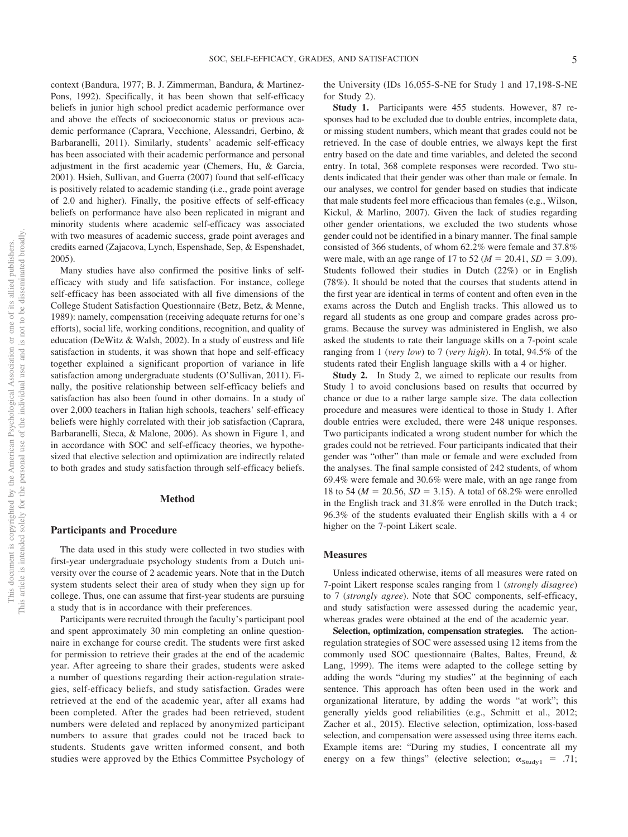context (Bandura, 1977; [B. J. Zimmerman, Bandura, & Martinez-](#page-16-2)[Pons, 1992\)](#page-16-2). Specifically, it has been shown that self-efficacy beliefs in junior high school predict academic performance over and above the effects of socioeconomic status or previous academic performance (Caprara, Vecchione, Alessandri, Gerbino, & Barbaranelli, 2011). Similarly, students' academic self-efficacy has been associated with their academic performance and personal adjustment in the first academic year (Chemers, Hu, & Garcia, 2001). Hsieh, Sullivan, and Guerra (2007) found that self-efficacy is positively related to academic standing (i.e., grade point average of 2.0 and higher). Finally, the positive effects of self-efficacy beliefs on performance have also been replicated in migrant and minority students where academic self-efficacy was associated with two measures of academic success, grade point averages and credits earned (Zajacova, Lynch, Espenshade, Sep, & Espenshadet, 2005).

Many studies have also confirmed the positive links of selfefficacy with study and life satisfaction. For instance, college self-efficacy has been associated with all five dimensions of the College Student Satisfaction Questionnaire (Betz, Betz, & Menne, 1989): namely, compensation (receiving adequate returns for one's efforts), social life, working conditions, recognition, and quality of education (DeWitz & Walsh, 2002). In a study of eustress and life satisfaction in students, it was shown that hope and self-efficacy together explained a significant proportion of variance in life satisfaction among undergraduate students (O'Sullivan, 2011). Finally, the positive relationship between self-efficacy beliefs and satisfaction has also been found in other domains. In a study of over 2,000 teachers in Italian high schools, teachers' self-efficacy beliefs were highly correlated with their job satisfaction (Caprara, Barbaranelli, Steca, & Malone, 2006). As shown in [Figure 1,](#page-2-0) and in accordance with SOC and self-efficacy theories, we hypothesized that elective selection and optimization are indirectly related to both grades and study satisfaction through self-efficacy beliefs.

#### **Method**

#### **Participants and Procedure**

The data used in this study were collected in two studies with first-year undergraduate psychology students from a Dutch university over the course of 2 academic years. Note that in the Dutch system students select their area of study when they sign up for college. Thus, one can assume that first-year students are pursuing a study that is in accordance with their preferences.

Participants were recruited through the faculty's participant pool and spent approximately 30 min completing an online questionnaire in exchange for course credit. The students were first asked for permission to retrieve their grades at the end of the academic year. After agreeing to share their grades, students were asked a number of questions regarding their action-regulation strategies, self-efficacy beliefs, and study satisfaction. Grades were retrieved at the end of the academic year, after all exams had been completed. After the grades had been retrieved, student numbers were deleted and replaced by anonymized participant numbers to assure that grades could not be traced back to students. Students gave written informed consent, and both studies were approved by the Ethics Committee Psychology of the University (IDs 16,055-S-NE for Study 1 and 17,198-S-NE for Study 2).

**Study 1.** Participants were 455 students. However, 87 responses had to be excluded due to double entries, incomplete data, or missing student numbers, which meant that grades could not be retrieved. In the case of double entries, we always kept the first entry based on the date and time variables, and deleted the second entry. In total, 368 complete responses were recorded. Two students indicated that their gender was other than male or female. In our analyses, we control for gender based on studies that indicate that male students feel more efficacious than females (e.g., Wilson, Kickul, & Marlino, 2007). Given the lack of studies regarding other gender orientations, we excluded the two students whose gender could not be identified in a binary manner. The final sample consisted of 366 students, of whom 62.2% were female and 37.8% were male, with an age range of 17 to 52 ( $M = 20.41$ ,  $SD = 3.09$ ). Students followed their studies in Dutch (22%) or in English (78%). It should be noted that the courses that students attend in the first year are identical in terms of content and often even in the exams across the Dutch and English tracks. This allowed us to regard all students as one group and compare grades across programs. Because the survey was administered in English, we also asked the students to rate their language skills on a 7-point scale ranging from 1 (*very low*) to 7 (*very high*). In total, 94.5% of the students rated their English language skills with a 4 or higher.

**Study 2.** In Study 2, we aimed to replicate our results from Study 1 to avoid conclusions based on results that occurred by chance or due to a rather large sample size. The data collection procedure and measures were identical to those in Study 1. After double entries were excluded, there were 248 unique responses. Two participants indicated a wrong student number for which the grades could not be retrieved. Four participants indicated that their gender was "other" than male or female and were excluded from the analyses. The final sample consisted of 242 students, of whom 69.4% were female and 30.6% were male, with an age range from 18 to 54 ( $M = 20.56$ ,  $SD = 3.15$ ). A total of 68.2% were enrolled in the English track and 31.8% were enrolled in the Dutch track; 96.3% of the students evaluated their English skills with a 4 or higher on the 7-point Likert scale.

#### **Measures**

Unless indicated otherwise, items of all measures were rated on 7-point Likert response scales ranging from 1 (*strongly disagree*) to 7 (*strongly agree*). Note that SOC components, self-efficacy, and study satisfaction were assessed during the academic year, whereas grades were obtained at the end of the academic year.

**Selection, optimization, compensation strategies.** The actionregulation strategies of SOC were assessed using 12 items from the commonly used SOC questionnaire (Baltes, Baltes, Freund, & Lang, 1999). The items were adapted to the college setting by adding the words "during my studies" at the beginning of each sentence. This approach has often been used in the work and organizational literature, by adding the words "at work"; this generally yields good reliabilities (e.g., Schmitt et al., 2012; Zacher et al., 2015). Elective selection, optimization, loss-based selection, and compensation were assessed using three items each. Example items are: "During my studies, I concentrate all my energy on a few things" (elective selection;  $\alpha_{\text{Study1}} = .71$ ;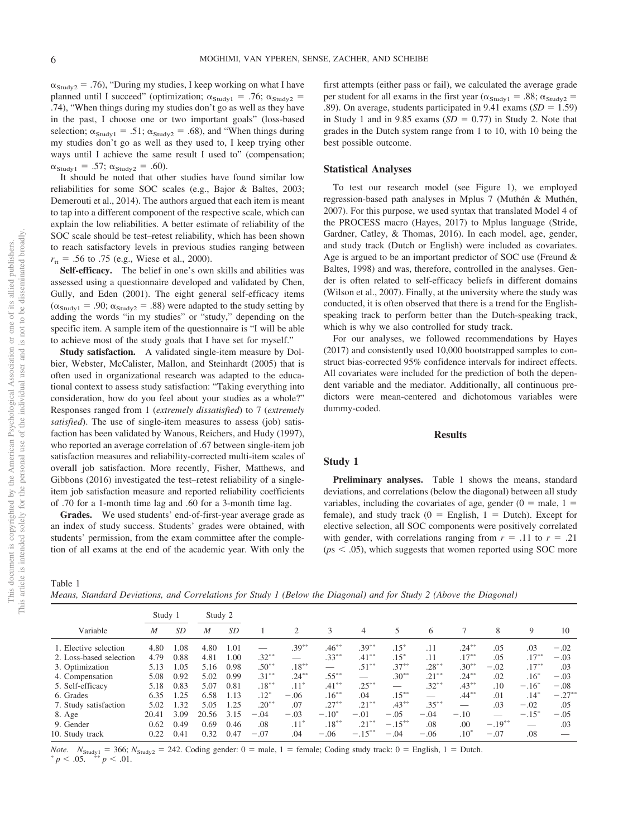$\alpha_{\text{Study2}} = .76$ , "During my studies, I keep working on what I have planned until I succeed" (optimization;  $\alpha_{\text{Study1}} = .76$ ;  $\alpha_{\text{Study2}} =$ .74), "When things during my studies don't go as well as they have in the past, I choose one or two important goals" (loss-based selection;  $\alpha_{\text{Study1}} = .51$ ;  $\alpha_{\text{Study2}} = .68$ ), and "When things during my studies don't go as well as they used to, I keep trying other ways until I achieve the same result I used to" (compensation;  $\alpha_{\text{Study1}} = .57; \ \alpha_{\text{Study2}} = .60$ ).

It should be noted that other studies have found similar low reliabilities for some SOC scales (e.g., Bajor & Baltes, 2003; Demerouti et al., 2014). The authors argued that each item is meant to tap into a different component of the respective scale, which can explain the low reliabilities. A better estimate of reliability of the SOC scale should be test–retest reliability, which has been shown to reach satisfactory levels in previous studies ranging between  $r_{tt}$  = .56 to .75 (e.g., Wiese et al., 2000).

Self-efficacy. The belief in one's own skills and abilities was assessed using a questionnaire developed and validated by Chen, Gully, and Eden (2001). The eight general self-efficacy items  $(\alpha_{\text{Study1}} = .90; \alpha_{\text{Study2}} = .88)$  were adapted to the study setting by adding the words "in my studies" or "study," depending on the specific item. A sample item of the questionnaire is "I will be able to achieve most of the study goals that I have set for myself."

**Study satisfaction.** A validated single-item measure by Dolbier, Webster, McCalister, Mallon, and Steinhardt (2005) that is often used in organizational research was adapted to the educational context to assess study satisfaction: "Taking everything into consideration, how do you feel about your studies as a whole?" Responses ranged from 1 (*extremely dissatisfied*) to 7 (*extremely satisfied*). The use of single-item measures to assess (job) satisfaction has been validated by Wanous, Reichers, and Hudy (1997), who reported an average correlation of .67 between single-item job satisfaction measures and reliability-corrected multi-item scales of overall job satisfaction. More recently, Fisher, Matthews, and Gibbons (2016) investigated the test–retest reliability of a singleitem job satisfaction measure and reported reliability coefficients of .70 for a 1-month time lag and .60 for a 3-month time lag.

**Grades.** We used students' end-of-first-year average grade as an index of study success. Students' grades were obtained, with students' permission, from the exam committee after the completion of all exams at the end of the academic year. With only the first attempts (either pass or fail), we calculated the average grade per student for all exams in the first year ( $\alpha_{\text{Study1}} = .88$ ;  $\alpha_{\text{Study2}} =$ .89). On average, students participated in  $9.41$  exams ( $SD = 1.59$ ) in Study 1 and in 9.85 exams  $(SD = 0.77)$  in Study 2. Note that grades in the Dutch system range from 1 to 10, with 10 being the best possible outcome.

#### **Statistical Analyses**

To test our research model (see [Figure 1\)](#page-2-0), we employed regression-based path analyses in Mplus 7 (Muthén & Muthén, 2007). For this purpose, we used syntax that translated Model 4 of the PROCESS macro (Hayes, 2017) to Mplus language (Stride, Gardner, Catley, & Thomas, 2016). In each model, age, gender, and study track (Dutch or English) were included as covariates. Age is argued to be an important predictor of SOC use (Freund & Baltes, 1998) and was, therefore, controlled in the analyses. Gender is often related to self-efficacy beliefs in different domains (Wilson et al., 2007). Finally, at the university where the study was conducted, it is often observed that there is a trend for the Englishspeaking track to perform better than the Dutch-speaking track, which is why we also controlled for study track.

For our analyses, we followed recommendations by Hayes (2017) and consistently used 10,000 bootstrapped samples to construct bias-corrected 95% confidence intervals for indirect effects. All covariates were included for the prediction of both the dependent variable and the mediator. Additionally, all continuous predictors were mean-centered and dichotomous variables were dummy-coded.

#### **Results**

#### **Study 1**

**Preliminary analyses.** [Table 1](#page-6-0) shows the means, standard deviations, and correlations (below the diagonal) between all study variables, including the covariates of age, gender  $(0 =$  male,  $1 =$ female), and study track  $(0 =$  English,  $1 =$  Dutch). Except for elective selection, all SOC components were positively correlated with gender, with correlations ranging from  $r = .11$  to  $r = .21$  $(ps < .05)$ , which suggests that women reported using SOC more

<span id="page-6-0"></span>Table 1

*Means, Standard Deviations, and Correlations for Study 1 (Below the Diagonal) and for Study 2 (Above the Diagonal)*

|                         | Study 1 |      | Study 2 |      |          |          |          |           |           |          |          |           |                |           |
|-------------------------|---------|------|---------|------|----------|----------|----------|-----------|-----------|----------|----------|-----------|----------------|-----------|
| Variable                | M       | SD   | M       | SD   |          | 2        | 3        | 4         |           | 6        |          | 8         | 9              | 10        |
| 1. Elective selection   | 4.80    | 0.08 | 4.80    | 1.01 |          | $.39***$ | $.46***$ | $.39***$  | $.15*$    | .11      | $.24***$ | .05       | .03            | $-.02$    |
| 2. Loss-based selection | 4.79    | 0.88 | 4.81    | 1.00 | $.32***$ |          | $.33***$ | $.41***$  | $.15*$    | .11      | $.17***$ | .05       | $.17***$       | $-.03$    |
| 3. Optimization         | 5.13    | 1.05 | 5.16    | 0.98 | $.50***$ | $.18***$ |          | $.51***$  | $.37***$  | $.28***$ | $.30***$ | $-.02$    | $.17***$       | .03       |
| 4. Compensation         | 5.08    | 0.92 | 5.02    | 0.99 | $.31***$ | $.24***$ | $.55***$ |           | $.30**$   | $.21***$ | $.24***$ | .02       | $.16*$         | $-.03$    |
| 5. Self-efficacy        | 5.18    | 0.83 | 5.07    | 0.81 | $.18***$ | $.11*$   | $.41***$ | $.25***$  |           | $.32***$ | $.43***$ | .10       | $-.16^{\circ}$ | $-.08$    |
| 6. Grades               | 6.35    | 1.25 | 6.58    | 1.13 | $.12*$   | $-.06$   | $.16***$ | .04       | $.15***$  |          | $.44***$ | .01       | $.14*$         | $-.27***$ |
| 7. Study satisfaction   | 5.02    | 1.32 | 5.05    | 1.25 | $.20***$ | .07      | $.27***$ | $.21***$  | $.43***$  | $.35***$ |          | .03       | $-.02$         | .05       |
| 8. Age                  | 20.41   | 3.09 | 20.56   | 3.15 | $-.04$   | $-.03$   | $-.10*$  | $-.01$    | $-.05$    | $-.04$   | $-.10$   |           | $-.15^*$       | $-.05$    |
| 9. Gender               | 0.62    | 0.49 | 0.69    | 0.46 | .08      | $.11*$   | $.18***$ | $.21***$  | $-.15***$ | .08      | .00      | $-.19***$ | -              | .03       |
| 10. Study track         | 0.22    | 0.41 | 0.32    | 0.47 | $-.07$   | .04      | $-.06$   | $-.15***$ | $-.04$    | $-.06$   | $.10^*$  | $-.07$    | .08            |           |

*Note.*  $N_{\text{Study1}} = 366$ ;  $N_{\text{Study2}} = 242$ . Coding gender:  $0 = \text{male}$ ,  $1 = \text{female}$ ; Coding study track:  $0 = \text{English}$ ,  $1 = \text{ Dutch}$ .  $p < .05$ .  $p < .01$ .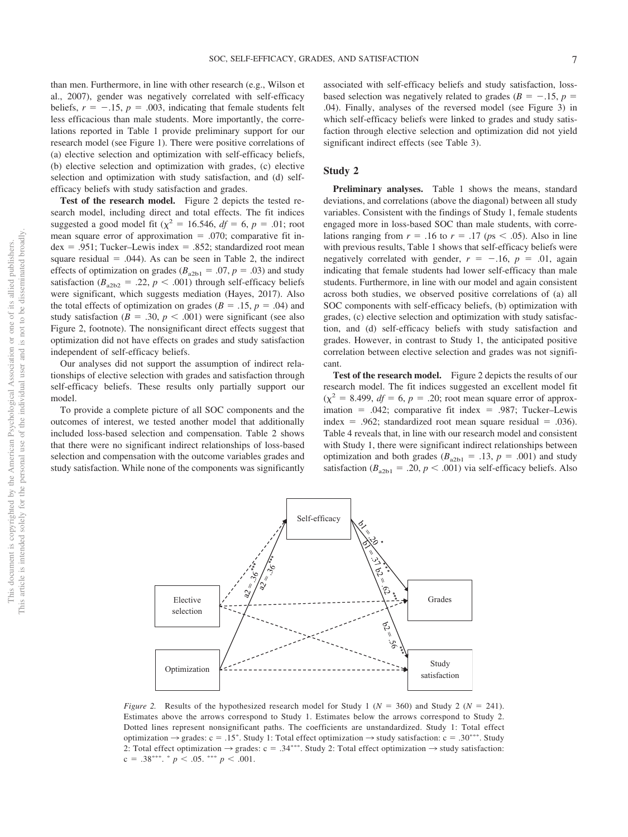than men. Furthermore, in line with other research (e.g., Wilson et al., 2007), gender was negatively correlated with self-efficacy beliefs,  $r = -.15$ ,  $p = .003$ , indicating that female students felt less efficacious than male students. More importantly, the correlations reported in [Table 1](#page-6-0) provide preliminary support for our research model (see [Figure 1\)](#page-2-0). There were positive correlations of (a) elective selection and optimization with self-efficacy beliefs, (b) elective selection and optimization with grades, (c) elective selection and optimization with study satisfaction, and (d) selfefficacy beliefs with study satisfaction and grades.

**Test of the research model.** [Figure 2](#page-7-0) depicts the tested research model, including direct and total effects. The fit indices suggested a good model fit ( $\chi^2 = 16.546$ ,  $df = 6$ ,  $p = .01$ ; root mean square error of approximation  $= .070$ ; comparative fit in $dex = .951$ ; Tucker–Lewis index = .852; standardized root mean square residual  $= .044$ ). As can be seen in [Table 2,](#page-8-0) the indirect effects of optimization on grades ( $B_{a2b1} = .07$ ,  $p = .03$ ) and study satisfaction ( $B_{a2b2} = .22$ ,  $p < .001$ ) through self-efficacy beliefs were significant, which suggests mediation (Hayes, 2017). Also the total effects of optimization on grades ( $B = .15$ ,  $p = .04$ ) and study satisfaction ( $B = .30, p < .001$ ) were significant (see also [Figure 2,](#page-7-0) footnote). The nonsignificant direct effects suggest that optimization did not have effects on grades and study satisfaction independent of self-efficacy beliefs.

Our analyses did not support the assumption of indirect relationships of elective selection with grades and satisfaction through self-efficacy beliefs. These results only partially support our model.

To provide a complete picture of all SOC components and the outcomes of interest, we tested another model that additionally included loss-based selection and compensation. [Table 2](#page-8-0) shows that there were no significant indirect relationships of loss-based selection and compensation with the outcome variables grades and study satisfaction. While none of the components was significantly associated with self-efficacy beliefs and study satisfaction, lossbased selection was negatively related to grades ( $B = -.15$ ,  $p =$ .04). Finally, analyses of the reversed model (see [Figure 3\)](#page-9-0) in which self-efficacy beliefs were linked to grades and study satisfaction through elective selection and optimization did not yield significant indirect effects (see [Table 3\)](#page-9-1).

#### **Study 2**

**Preliminary analyses.** [Table 1](#page-6-0) shows the means, standard deviations, and correlations (above the diagonal) between all study variables. Consistent with the findings of Study 1, female students engaged more in loss-based SOC than male students, with correlations ranging from  $r = .16$  to  $r = .17$  ( $ps < .05$ ). Also in line with previous results, [Table 1](#page-6-0) shows that self-efficacy beliefs were negatively correlated with gender,  $r = -.16$ ,  $p = .01$ , again indicating that female students had lower self-efficacy than male students. Furthermore, in line with our model and again consistent across both studies, we observed positive correlations of (a) all SOC components with self-efficacy beliefs, (b) optimization with grades, (c) elective selection and optimization with study satisfaction, and (d) self-efficacy beliefs with study satisfaction and grades. However, in contrast to Study 1, the anticipated positive correlation between elective selection and grades was not significant.

**Test of the research model.** [Figure 2](#page-7-0) depicts the results of our research model. The fit indices suggested an excellent model fit  $(\chi^2 = 8.499, df = 6, p = .20;$  root mean square error of approximation = .042; comparative fit index = .987; Tucker-Lewis index = .962; standardized root mean square residual = .036). [Table 4](#page-10-0) reveals that, in line with our research model and consistent with Study 1, there were significant indirect relationships between optimization and both grades ( $B_{a2b1} = .13$ ,  $p = .001$ ) and study satisfaction ( $B_{a2b1} = .20$ ,  $p < .001$ ) via self-efficacy beliefs. Also



<span id="page-7-0"></span>*Figure 2.* Results of the hypothesized research model for Study 1 ( $N = 360$ ) and Study 2 ( $N = 241$ ). Estimates above the arrows correspond to Study 1. Estimates below the arrows correspond to Study 2. Dotted lines represent nonsignificant paths. The coefficients are unstandardized. Study 1: Total effect optimization  $\rightarrow$  grades: c = .15<sup>\*</sup>. Study 1: Total effect optimization  $\rightarrow$  study satisfaction: c = .30<sup>\*\*\*</sup>. Study 2: Total effect optimization  $\rightarrow$  grades: c = .34\*\*\*. Study 2: Total effect optimization  $\rightarrow$  study satisfaction:  $c = .38***.* p < .05.*** p < .001.$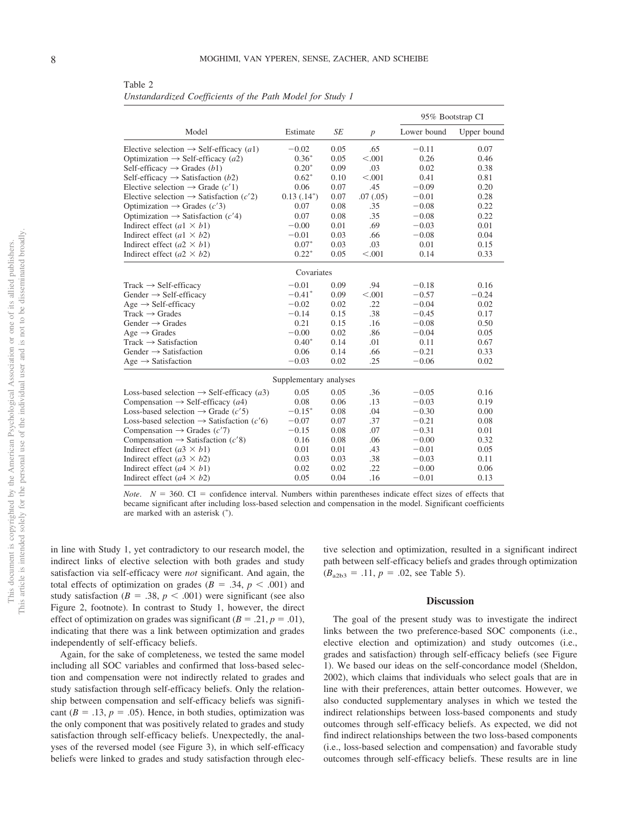<span id="page-8-0"></span>Table 2 *Unstandardized Coefficients of the Path Model for Study 1*

|                                                                |               |      |                  | 95% Bootstrap CI |             |  |  |  |  |
|----------------------------------------------------------------|---------------|------|------------------|------------------|-------------|--|--|--|--|
| Model                                                          | Estimate      | SE   | $\boldsymbol{p}$ | Lower bound      | Upper bound |  |  |  |  |
| Elective selection $\rightarrow$ Self-efficacy (a1)            | $-0.02$       | 0.05 | .65              | $-0.11$          | 0.07        |  |  |  |  |
| Optimization $\rightarrow$ Self-efficacy (a2)                  | $0.36*$       | 0.05 | < 0.001          | 0.26             | 0.46        |  |  |  |  |
| Self-efficacy $\rightarrow$ Grades (b1)                        | $0.20*$       | 0.09 | .03              | 0.02             | 0.38        |  |  |  |  |
| Self-efficacy $\rightarrow$ Satisfaction (b2)                  | $0.62*$       | 0.10 | < 0.001          | 0.41             | 0.81        |  |  |  |  |
| Elective selection $\rightarrow$ Grade (c'1)                   | 0.06          | 0.07 | .45              | $-0.09$          | 0.20        |  |  |  |  |
| Elective selection $\rightarrow$ Satisfaction (c'2)            | $0.13(.14^*)$ | 0.07 | .07(0.05)        | $-0.01$          | 0.28        |  |  |  |  |
| Optimization $\rightarrow$ Grades (c'3)                        | 0.07          | 0.08 | .35              | $-0.08$          | 0.22        |  |  |  |  |
| Optimization $\rightarrow$ Satisfaction (c'4)                  | 0.07          | 0.08 | .35              | $-0.08$          | 0.22        |  |  |  |  |
| Indirect effect $(a1 \times b1)$                               | $-0.00$       | 0.01 | .69              | $-0.03$          | 0.01        |  |  |  |  |
| Indirect effect (a1 $\times$ b2)                               | $-0.01$       | 0.03 | .66              | $-0.08$          | 0.04        |  |  |  |  |
| Indirect effect $(a2 \times b1)$                               | $0.07*$       | 0.03 | .03              | 0.01             | 0.15        |  |  |  |  |
| Indirect effect ( $a2 \times b2$ )                             | $0.22*$       | 0.05 | < 0.001          | 0.14             | 0.33        |  |  |  |  |
|                                                                | Covariates    |      |                  |                  |             |  |  |  |  |
| $Track \rightarrow Self\text{-efficacy}$                       | $-0.01$       | 0.09 | .94              | $-0.18$          | 0.16        |  |  |  |  |
| Gender $\rightarrow$ Self-efficacy                             | $-0.41*$      | 0.09 | < 0.001          | $-0.57$          | $-0.24$     |  |  |  |  |
| $Age \rightarrow Self\text{-efficacy}$                         | $-0.02$       | 0.02 | .22              | $-0.04$          | 0.02        |  |  |  |  |
| $Track \rightarrow Grades$                                     | $-0.14$       | 0.15 | .38              | $-0.45$          | 0.17        |  |  |  |  |
| Gender $\rightarrow$ Grades                                    | 0.21          | 0.15 | .16              | $-0.08$          | 0.50        |  |  |  |  |
| $Age \rightarrow Grades$                                       | $-0.00$       | 0.02 | .86              | $-0.04$          | 0.05        |  |  |  |  |
| $Track \rightarrow Satisfactor$                                | $0.40*$       | 0.14 | .01              | 0.11             | 0.67        |  |  |  |  |
| Gender $\rightarrow$ Satisfaction                              | 0.06          | 0.14 | .66              | $-0.21$          | 0.33        |  |  |  |  |
| Age $\rightarrow$ Satisfaction                                 | $-0.03$       | 0.02 | .25              | $-0.06$          | 0.02        |  |  |  |  |
| Supplementary analyses                                         |               |      |                  |                  |             |  |  |  |  |
| Loss-based selection $\rightarrow$ Self-efficacy ( <i>a</i> 3) | 0.05          | 0.05 | .36              | $-0.05$          | 0.16        |  |  |  |  |
| Compensation $\rightarrow$ Self-efficacy (a4)                  | 0.08          | 0.06 | .13              | $-0.03$          | 0.19        |  |  |  |  |
| Loss-based selection $\rightarrow$ Grade (c'5)                 | $-0.15*$      | 0.08 | .04              | $-0.30$          | 0.00        |  |  |  |  |
| Loss-based selection $\rightarrow$ Satisfaction (c'6)          | $-0.07$       | 0.07 | .37              | $-0.21$          | 0.08        |  |  |  |  |
| Compensation $\rightarrow$ Grades (c'7)                        | $-0.15$       | 0.08 | .07              | $-0.31$          | 0.01        |  |  |  |  |
| Compensation $\rightarrow$ Satisfaction (c'8)                  | 0.16          | 0.08 | .06              | $-0.00$          | 0.32        |  |  |  |  |
| Indirect effect ( $a3 \times b1$ )                             | 0.01          | 0.01 | .43              | $-0.01$          | 0.05        |  |  |  |  |
| Indirect effect ( $a3 \times b2$ )                             | 0.03          | 0.03 | .38              | $-0.03$          | 0.11        |  |  |  |  |
| Indirect effect $(a4 \times b1)$                               | 0.02          | 0.02 | .22              | $-0.00$          | 0.06        |  |  |  |  |
| Indirect effect ( $a4 \times b2$ )                             | 0.05          | 0.04 | .16              | $-0.01$          | 0.13        |  |  |  |  |

*Note.*  $N = 360$ . CI = confidence interval. Numbers within parentheses indicate effect sizes of effects that became significant after including loss-based selection and compensation in the model. Significant coefficients are marked with an asterisk (\*).

in line with Study 1, yet contradictory to our research model, the indirect links of elective selection with both grades and study satisfaction via self-efficacy were *not* significant. And again, the total effects of optimization on grades  $(B = .34, p < .001)$  and study satisfaction ( $B = .38$ ,  $p < .001$ ) were significant (see also [Figure 2,](#page-7-0) footnote). In contrast to Study 1, however, the direct effect of optimization on grades was significant  $(B = .21, p = .01)$ , indicating that there was a link between optimization and grades independently of self-efficacy beliefs.

Again, for the sake of completeness, we tested the same model including all SOC variables and confirmed that loss-based selection and compensation were not indirectly related to grades and study satisfaction through self-efficacy beliefs. Only the relationship between compensation and self-efficacy beliefs was significant ( $B = .13$ ,  $p = .05$ ). Hence, in both studies, optimization was the only component that was positively related to grades and study satisfaction through self-efficacy beliefs. Unexpectedly, the analyses of the reversed model (see [Figure 3\)](#page-9-0), in which self-efficacy beliefs were linked to grades and study satisfaction through elective selection and optimization, resulted in a significant indirect path between self-efficacy beliefs and grades through optimization  $(B_{a2b3} = .11, p = .02, \text{ see Table 5}).$ 

#### **Discussion**

The goal of the present study was to investigate the indirect links between the two preference-based SOC components (i.e., elective election and optimization) and study outcomes (i.e., grades and satisfaction) through self-efficacy beliefs (see [Figure](#page-2-0) [1\)](#page-2-0). We based our ideas on the self-concordance model (Sheldon, 2002), which claims that individuals who select goals that are in line with their preferences, attain better outcomes. However, we also conducted supplementary analyses in which we tested the indirect relationships between loss-based components and study outcomes through self-efficacy beliefs. As expected, we did not find indirect relationships between the two loss-based components (i.e., loss-based selection and compensation) and favorable study outcomes through self-efficacy beliefs. These results are in line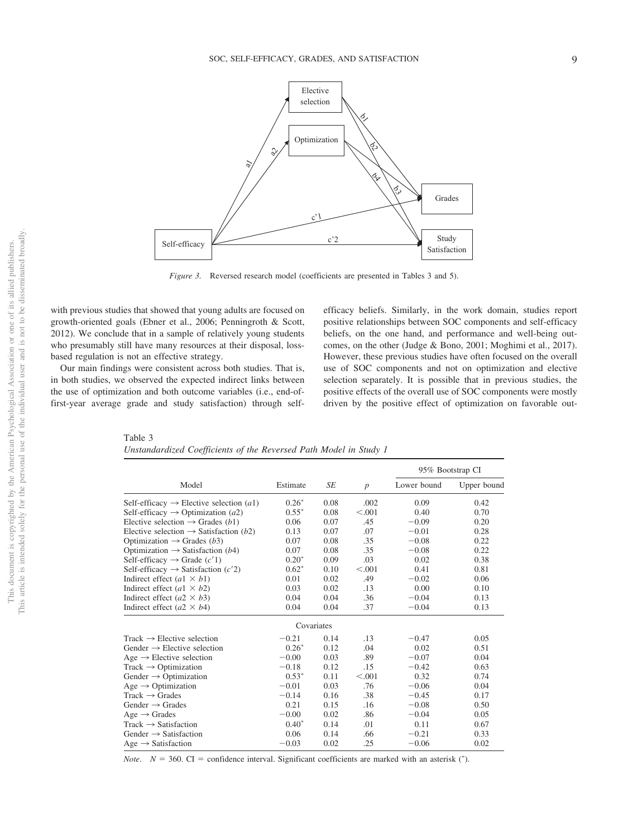

<span id="page-9-0"></span>*Figure 3.* Reversed research model (coefficients are presented in [Tables 3](#page-9-1) and [5\)](#page-11-0).

with previous studies that showed that young adults are focused on growth-oriented goals (Ebner et al., 2006; Penningroth & Scott, 2012). We conclude that in a sample of relatively young students who presumably still have many resources at their disposal, lossbased regulation is not an effective strategy.

Our main findings were consistent across both studies. That is, in both studies, we observed the expected indirect links between the use of optimization and both outcome variables (i.e., end-offirst-year average grade and study satisfaction) through selfefficacy beliefs. Similarly, in the work domain, studies report positive relationships between SOC components and self-efficacy beliefs, on the one hand, and performance and well-being outcomes, on the other (Judge & Bono, 2001; Moghimi et al., 2017). However, these previous studies have often focused on the overall use of SOC components and not on optimization and elective selection separately. It is possible that in previous studies, the positive effects of the overall use of SOC components were mostly driven by the positive effect of optimization on favorable out-

<span id="page-9-1"></span>Table 3 *Unstandardized Coefficients of the Reversed Path Model in Study 1*

|                                                              |            |      |                  | 95% Bootstrap CI |             |  |
|--------------------------------------------------------------|------------|------|------------------|------------------|-------------|--|
| Model                                                        | Estimate   | SE   | $\boldsymbol{p}$ | Lower bound      | Upper bound |  |
| Self-efficacy $\rightarrow$ Elective selection ( <i>a</i> 1) | $0.26*$    | 0.08 | .002             | 0.09             | 0.42        |  |
| Self-efficacy $\rightarrow$ Optimization (a2)                | $0.55*$    | 0.08 | < 0.001          | 0.40             | 0.70        |  |
| Elective selection $\rightarrow$ Grades (b1)                 | 0.06       | 0.07 | .45              | $-0.09$          | 0.20        |  |
| Elective selection $\rightarrow$ Satisfaction (b2)           | 0.13       | 0.07 | .07              | $-0.01$          | 0.28        |  |
| Optimization $\rightarrow$ Grades (b3)                       | 0.07       | 0.08 | .35              | $-0.08$          | 0.22        |  |
| Optimization $\rightarrow$ Satisfaction (b4)                 | 0.07       | 0.08 | .35              | $-0.08$          | 0.22        |  |
| Self-efficacy $\rightarrow$ Grade $(c'1)$                    | $0.20*$    | 0.09 | .03              | 0.02             | 0.38        |  |
| Self-efficacy $\rightarrow$ Satisfaction (c'2)               | $0.62*$    | 0.10 | < 0.001          | 0.41             | 0.81        |  |
| Indirect effect $(a1 \times b1)$                             | 0.01       | 0.02 | .49              | $-0.02$          | 0.06        |  |
| Indirect effect $(a1 \times b2)$                             | 0.03       | 0.02 | .13              | 0.00             | 0.10        |  |
| Indirect effect $(a2 \times b3)$                             | 0.04       | 0.04 | .36              | $-0.04$          | 0.13        |  |
| Indirect effect $(a2 \times b4)$                             | 0.04       | 0.04 | .37              | $-0.04$          | 0.13        |  |
|                                                              | Covariates |      |                  |                  |             |  |
| Track $\rightarrow$ Elective selection                       | $-0.21$    | 0.14 | .13              | $-0.47$          | 0.05        |  |
| Gender $\rightarrow$ Elective selection                      | $0.26*$    | 0.12 | .04              | 0.02             | 0.51        |  |
| $Age \rightarrow Electric selection$                         | $-0.00$    | 0.03 | .89              | $-0.07$          | 0.04        |  |
| $Track \rightarrow Optimization$                             | $-0.18$    | 0.12 | .15              | $-0.42$          | 0.63        |  |
| Gender $\rightarrow$ Optimization                            | $0.53*$    | 0.11 | < 0.001          | 0.32             | 0.74        |  |
| Age $\rightarrow$ Optimization                               | $-0.01$    | 0.03 | .76              | $-0.06$          | 0.04        |  |
| $Track \rightarrow Grades$                                   | $-0.14$    | 0.16 | .38              | $-0.45$          | 0.17        |  |
| Gender $\rightarrow$ Grades                                  | 0.21       | 0.15 | .16              | $-0.08$          | 0.50        |  |
| $Age \rightarrow Grades$                                     | $-0.00$    | 0.02 | .86              | $-0.04$          | 0.05        |  |
| $Track \rightarrow Satisfactor$                              | $0.40*$    | 0.14 | .01              | 0.11             | 0.67        |  |
| Gender $\rightarrow$ Satisfaction                            | 0.06       | 0.14 | .66              | $-0.21$          | 0.33        |  |
| $Age \rightarrow Satisfactor$                                | $-0.03$    | 0.02 | .25              | $-0.06$          | 0.02        |  |
|                                                              |            |      |                  |                  |             |  |

*Note.*  $N = 360$ . CI = confidence interval. Significant coefficients are marked with an asterisk  $(^{*})$ .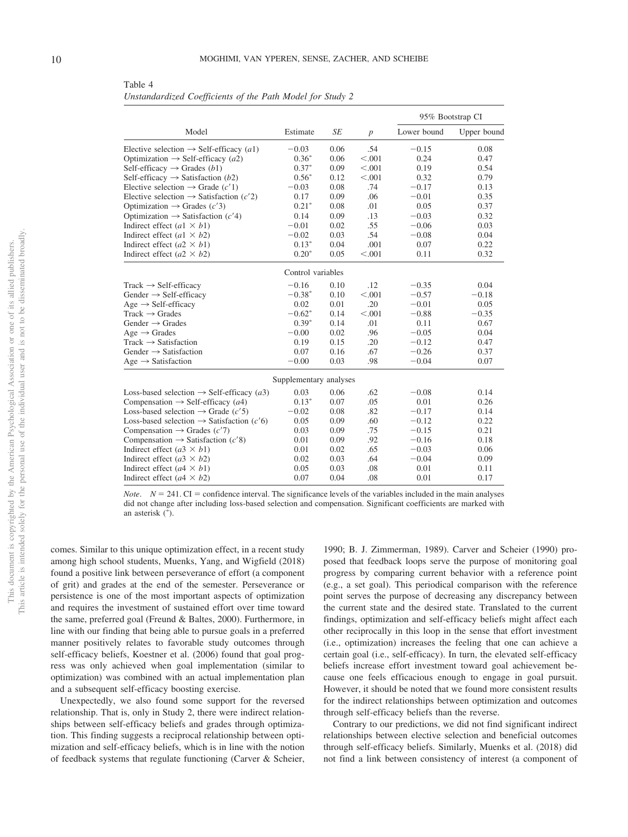<span id="page-10-0"></span>Table 4 *Unstandardized Coefficients of the Path Model for Study 2*

|                                                                |                   |      |         | 95% Bootstrap CI |             |  |  |  |  |
|----------------------------------------------------------------|-------------------|------|---------|------------------|-------------|--|--|--|--|
| Model                                                          | Estimate          | SE   | p       | Lower bound      | Upper bound |  |  |  |  |
| Elective selection $\rightarrow$ Self-efficacy (a1)            | $-0.03$           | 0.06 | .54     | $-0.15$          | 0.08        |  |  |  |  |
| Optimization $\rightarrow$ Self-efficacy (a2)                  | $0.36*$           | 0.06 | < 0.001 | 0.24             | 0.47        |  |  |  |  |
| Self-efficacy $\rightarrow$ Grades (b1)                        | $0.37*$           | 0.09 | < 0.001 | 0.19             | 0.54        |  |  |  |  |
| Self-efficacy $\rightarrow$ Satisfaction (b2)                  | $0.56*$           | 0.12 | < 0.001 | 0.32             | 0.79        |  |  |  |  |
| Elective selection $\rightarrow$ Grade (c'1)                   | $-0.03$           | 0.08 | .74     | $-0.17$          | 0.13        |  |  |  |  |
| Elective selection $\rightarrow$ Satisfaction (c'2)            | 0.17              | 0.09 | .06     | $-0.01$          | 0.35        |  |  |  |  |
| Optimization $\rightarrow$ Grades (c'3)                        | $0.21*$           | 0.08 | .01     | 0.05             | 0.37        |  |  |  |  |
| Optimization $\rightarrow$ Satisfaction (c'4)                  | 0.14              | 0.09 | .13     | $-0.03$          | 0.32        |  |  |  |  |
| Indirect effect (a1 $\times$ b1)                               | $-0.01$           | 0.02 | .55     | $-0.06$          | 0.03        |  |  |  |  |
| Indirect effect (a1 $\times$ b2)                               | $-0.02$           | 0.03 | .54     | $-0.08$          | 0.04        |  |  |  |  |
| Indirect effect ( $a2 \times b1$ )                             | $0.13*$           | 0.04 | .001    | 0.07             | 0.22        |  |  |  |  |
| Indirect effect (a2 $\times$ b2)                               | $0.20*$           | 0.05 | < 0.001 | 0.11             | 0.32        |  |  |  |  |
|                                                                | Control variables |      |         |                  |             |  |  |  |  |
| $Track \rightarrow Self\text{-}efficacy$                       | $-0.16$           | 0.10 | .12     | $-0.35$          | 0.04        |  |  |  |  |
| Gender $\rightarrow$ Self-efficacy                             | $-0.38*$          | 0.10 | < 0.001 | $-0.57$          | $-0.18$     |  |  |  |  |
| $Age \rightarrow Self\text{-efficacy}$                         | 0.02              | 0.01 | .20     | $-0.01$          | 0.05        |  |  |  |  |
| $Track \rightarrow Grades$                                     | $-0.62^*$         | 0.14 | < 0.001 | $-0.88$          | $-0.35$     |  |  |  |  |
| Gender $\rightarrow$ Grades                                    | $0.39*$           | 0.14 | .01     | 0.11             | 0.67        |  |  |  |  |
| $Age \rightarrow Grades$                                       | $-0.00$           | 0.02 | .96     | $-0.05$          | 0.04        |  |  |  |  |
| $Track \rightarrow Satisfactor$                                | 0.19              | 0.15 | .20     | $-0.12$          | 0.47        |  |  |  |  |
| Gender $\rightarrow$ Satisfaction                              | 0.07              | 0.16 | .67     | $-0.26$          | 0.37        |  |  |  |  |
| Age $\rightarrow$ Satisfaction                                 | $-0.00$           | 0.03 | .98     | $-0.04$          | 0.07        |  |  |  |  |
| Supplementary analyses                                         |                   |      |         |                  |             |  |  |  |  |
| Loss-based selection $\rightarrow$ Self-efficacy ( <i>a</i> 3) | 0.03              | 0.06 | .62     | $-0.08$          | 0.14        |  |  |  |  |
| Compensation $\rightarrow$ Self-efficacy (a4)                  | $0.13*$           | 0.07 | .05     | 0.01             | 0.26        |  |  |  |  |
| Loss-based selection $\rightarrow$ Grade (c'5)                 | $-0.02$           | 0.08 | .82     | $-0.17$          | 0.14        |  |  |  |  |
| Loss-based selection $\rightarrow$ Satisfaction (c'6)          | 0.05              | 0.09 | .60     | $-0.12$          | 0.22        |  |  |  |  |
| Compensation $\rightarrow$ Grades (c'7)                        | 0.03              | 0.09 | .75     | $-0.15$          | 0.21        |  |  |  |  |
| Compensation $\rightarrow$ Satisfaction (c'8)                  | 0.01              | 0.09 | .92     | $-0.16$          | 0.18        |  |  |  |  |
| Indirect effect (a3 $\times$ b1)                               | 0.01              | 0.02 | .65     | $-0.03$          | 0.06        |  |  |  |  |
| Indirect effect (a3 $\times$ b2)                               | 0.02              | 0.03 | .64     | $-0.04$          | 0.09        |  |  |  |  |
| Indirect effect $(a4 \times b1)$                               | 0.05              | 0.03 | .08     | 0.01             | 0.11        |  |  |  |  |
| Indirect effect ( $a4 \times b2$ )                             | 0.07              | 0.04 | .08     | 0.01             | 0.17        |  |  |  |  |

*Note.*  $N = 241$ . CI = confidence interval. The significance levels of the variables included in the main analyses did not change after including loss-based selection and compensation. Significant coefficients are marked with an asterisk  $(\check{\ })$ .

comes. Similar to this unique optimization effect, in a recent study among high school students, Muenks, Yang, and Wigfield (2018) found a positive link between perseverance of effort (a component of grit) and grades at the end of the semester. Perseverance or persistence is one of the most important aspects of optimization and requires the investment of sustained effort over time toward the same, preferred goal (Freund & Baltes, 2000). Furthermore, in line with our finding that being able to pursue goals in a preferred manner positively relates to favorable study outcomes through self-efficacy beliefs, Koestner et al. (2006) found that goal progress was only achieved when goal implementation (similar to optimization) was combined with an actual implementation plan and a subsequent self-efficacy boosting exercise.

Unexpectedly, we also found some support for the reversed relationship. That is, only in Study 2, there were indirect relationships between self-efficacy beliefs and grades through optimization. This finding suggests a reciprocal relationship between optimization and self-efficacy beliefs, which is in line with the notion of feedback systems that regulate functioning (Carver & Scheier,

1990; B. J. Zimmerman, 1989). Carver and Scheier (1990) proposed that feedback loops serve the purpose of monitoring goal progress by comparing current behavior with a reference point (e.g., a set goal). This periodical comparison with the reference point serves the purpose of decreasing any discrepancy between the current state and the desired state. Translated to the current findings, optimization and self-efficacy beliefs might affect each other reciprocally in this loop in the sense that effort investment (i.e., optimization) increases the feeling that one can achieve a certain goal (i.e., self-efficacy). In turn, the elevated self-efficacy beliefs increase effort investment toward goal achievement because one feels efficacious enough to engage in goal pursuit. However, it should be noted that we found more consistent results for the indirect relationships between optimization and outcomes through self-efficacy beliefs than the reverse.

Contrary to our predictions, we did not find significant indirect relationships between elective selection and beneficial outcomes through self-efficacy beliefs. Similarly, Muenks et al. (2018) did not find a link between consistency of interest (a component of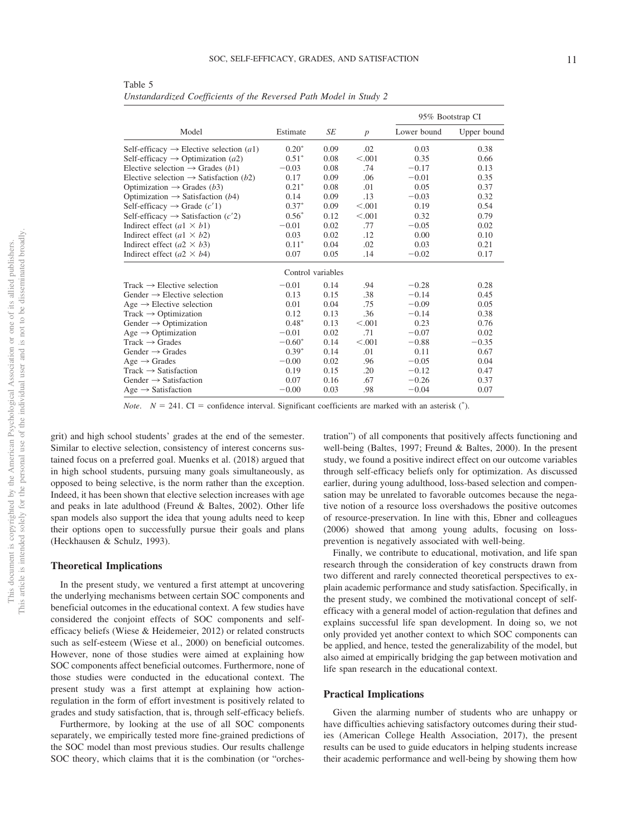|                                                     |          |      |                  | 95% Bootstrap CI |             |  |  |  |  |  |
|-----------------------------------------------------|----------|------|------------------|------------------|-------------|--|--|--|--|--|
| Model                                               | Estimate | SE   | $\boldsymbol{p}$ | Lower bound      | Upper bound |  |  |  |  |  |
| Self-efficacy $\rightarrow$ Elective selection (a1) | $0.20*$  | 0.09 | .02              | 0.03             | 0.38        |  |  |  |  |  |
| Self-efficacy $\rightarrow$ Optimization (a2)       | $0.51*$  | 0.08 | < .001           | 0.35             | 0.66        |  |  |  |  |  |
| Elective selection $\rightarrow$ Grades (b1)        | $-0.03$  | 0.08 | .74              | $-0.17$          | 0.13        |  |  |  |  |  |
| Elective selection $\rightarrow$ Satisfaction (b2)  | 0.17     | 0.09 | .06              | $-0.01$          | 0.35        |  |  |  |  |  |
| Optimization $\rightarrow$ Grades (b3)              | $0.21*$  | 0.08 | .01              | 0.05             | 0.37        |  |  |  |  |  |
| Optimization $\rightarrow$ Satisfaction (b4)        | 0.14     | 0.09 | .13              | $-0.03$          | 0.32        |  |  |  |  |  |
| Self-efficacy $\rightarrow$ Grade $(c'1)$           | $0.37*$  | 0.09 | < 0.001          | 0.19             | 0.54        |  |  |  |  |  |
| Self-efficacy $\rightarrow$ Satisfaction (c'2)      | $0.56*$  | 0.12 | < 0.001          | 0.32             | 0.79        |  |  |  |  |  |
| Indirect effect $(a1 \times b1)$                    | $-0.01$  | 0.02 | .77              | $-0.05$          | 0.02        |  |  |  |  |  |
| Indirect effect (a1 $\times$ b2)                    | 0.03     | 0.02 | .12              | 0.00             | 0.10        |  |  |  |  |  |
| Indirect effect (a2 $\times$ b3)                    | $0.11*$  | 0.04 | .02              | 0.03             | 0.21        |  |  |  |  |  |
| Indirect effect ( $a2 \times b4$ )                  | 0.07     | 0.05 | .14              | $-0.02$          | 0.17        |  |  |  |  |  |
| Control variables                                   |          |      |                  |                  |             |  |  |  |  |  |
| $Track \rightarrow Electric selection$              | $-0.01$  | 0.14 | .94              | $-0.28$          | 0.28        |  |  |  |  |  |
| Gender $\rightarrow$ Elective selection             | 0.13     | 0.15 | .38              | $-0.14$          | 0.45        |  |  |  |  |  |
| Age $\rightarrow$ Elective selection                | 0.01     | 0.04 | .75              | $-0.09$          | 0.05        |  |  |  |  |  |
| $Track \rightarrow Optimization$                    | 0.12     | 0.13 | .36              | $-0.14$          | 0.38        |  |  |  |  |  |
| Gender $\rightarrow$ Optimization                   | $0.48*$  | 0.13 | < 0.001          | 0.23             | 0.76        |  |  |  |  |  |
| Age $\rightarrow$ Optimization                      | $-0.01$  | 0.02 | .71              | $-0.07$          | 0.02        |  |  |  |  |  |
| $Track \rightarrow Grades$                          | $-0.60*$ | 0.14 | < 0.001          | $-0.88$          | $-0.35$     |  |  |  |  |  |
| Gender $\rightarrow$ Grades                         | $0.39*$  | 0.14 | .01              | 0.11             | 0.67        |  |  |  |  |  |
| $Age \rightarrow Grades$                            | $-0.00$  | 0.02 | .96              | $-0.05$          | 0.04        |  |  |  |  |  |
| $Track \rightarrow Satisfactor$                     | 0.19     | 0.15 | .20              | $-0.12$          | 0.47        |  |  |  |  |  |
| Gender $\rightarrow$ Satisfaction                   | 0.07     | 0.16 | .67              | $-0.26$          | 0.37        |  |  |  |  |  |
| Age $\rightarrow$ Satisfaction                      | $-0.00$  | 0.03 | .98              | $-0.04$          | 0.07        |  |  |  |  |  |

<span id="page-11-0"></span>Table 5 *Unstandardized Coefficients of the Reversed Path Model in Study 2*

*Note.*  $N = 241$ . CI = confidence interval. Significant coefficients are marked with an asterisk  $(^{*})$ .

grit) and high school students' grades at the end of the semester. Similar to elective selection, consistency of interest concerns sustained focus on a preferred goal. Muenks et al. (2018) argued that in high school students, pursuing many goals simultaneously, as opposed to being selective, is the norm rather than the exception. Indeed, it has been shown that elective selection increases with age and peaks in late adulthood (Freund & Baltes, 2002). Other life span models also support the idea that young adults need to keep their options open to successfully pursue their goals and plans (Heckhausen & Schulz, 1993).

#### **Theoretical Implications**

In the present study, we ventured a first attempt at uncovering the underlying mechanisms between certain SOC components and beneficial outcomes in the educational context. A few studies have considered the conjoint effects of SOC components and selfefficacy beliefs (Wiese & Heidemeier, 2012) or related constructs such as self-esteem (Wiese et al., 2000) on beneficial outcomes. However, none of those studies were aimed at explaining how SOC components affect beneficial outcomes. Furthermore, none of those studies were conducted in the educational context. The present study was a first attempt at explaining how actionregulation in the form of effort investment is positively related to grades and study satisfaction, that is, through self-efficacy beliefs.

Furthermore, by looking at the use of all SOC components separately, we empirically tested more fine-grained predictions of the SOC model than most previous studies. Our results challenge SOC theory, which claims that it is the combination (or "orchestration") of all components that positively affects functioning and well-being (Baltes, 1997; Freund & Baltes, 2000). In the present study, we found a positive indirect effect on our outcome variables through self-efficacy beliefs only for optimization. As discussed earlier, during young adulthood, loss-based selection and compensation may be unrelated to favorable outcomes because the negative notion of a resource loss overshadows the positive outcomes of resource-preservation. In line with this, Ebner and colleagues (2006) showed that among young adults, focusing on lossprevention is negatively associated with well-being.

Finally, we contribute to educational, motivation, and life span research through the consideration of key constructs drawn from two different and rarely connected theoretical perspectives to explain academic performance and study satisfaction. Specifically, in the present study, we combined the motivational concept of selfefficacy with a general model of action-regulation that defines and explains successful life span development. In doing so, we not only provided yet another context to which SOC components can be applied, and hence, tested the generalizability of the model, but also aimed at empirically bridging the gap between motivation and life span research in the educational context.

#### **Practical Implications**

Given the alarming number of students who are unhappy or have difficulties achieving satisfactory outcomes during their studies (American College Health Association, 2017), the present results can be used to guide educators in helping students increase their academic performance and well-being by showing them how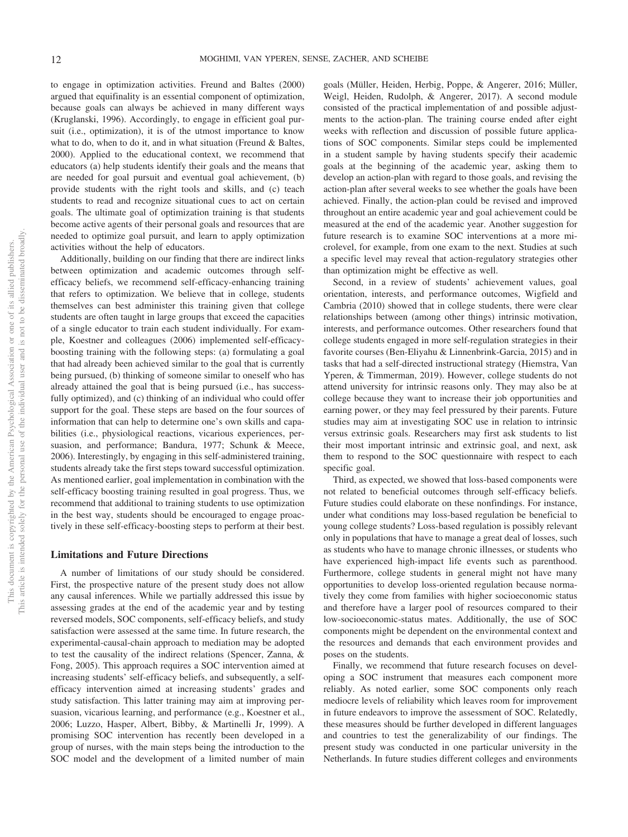to engage in optimization activities. Freund and Baltes (2000) argued that equifinality is an essential component of optimization, because goals can always be achieved in many different ways (Kruglanski, 1996). Accordingly, to engage in efficient goal pursuit (i.e., optimization), it is of the utmost importance to know what to do, when to do it, and in what situation (Freund & Baltes, 2000). Applied to the educational context, we recommend that educators (a) help students identify their goals and the means that are needed for goal pursuit and eventual goal achievement, (b) provide students with the right tools and skills, and (c) teach students to read and recognize situational cues to act on certain goals. The ultimate goal of optimization training is that students become active agents of their personal goals and resources that are needed to optimize goal pursuit, and learn to apply optimization activities without the help of educators.

Additionally, building on our finding that there are indirect links between optimization and academic outcomes through selfefficacy beliefs, we recommend self-efficacy-enhancing training that refers to optimization. We believe that in college, students themselves can best administer this training given that college students are often taught in large groups that exceed the capacities of a single educator to train each student individually. For example, Koestner and colleagues (2006) implemented self-efficacyboosting training with the following steps: (a) formulating a goal that had already been achieved similar to the goal that is currently being pursued, (b) thinking of someone similar to oneself who has already attained the goal that is being pursued (i.e., has successfully optimized), and (c) thinking of an individual who could offer support for the goal. These steps are based on the four sources of information that can help to determine one's own skills and capabilities (i.e., physiological reactions, vicarious experiences, persuasion, and performance; Bandura, 1977; Schunk & Meece, 2006). Interestingly, by engaging in this self-administered training, students already take the first steps toward successful optimization. As mentioned earlier, goal implementation in combination with the self-efficacy boosting training resulted in goal progress. Thus, we recommend that additional to training students to use optimization in the best way, students should be encouraged to engage proactively in these self-efficacy-boosting steps to perform at their best.

#### **Limitations and Future Directions**

A number of limitations of our study should be considered. First, the prospective nature of the present study does not allow any causal inferences. While we partially addressed this issue by assessing grades at the end of the academic year and by testing reversed models, SOC components, self-efficacy beliefs, and study satisfaction were assessed at the same time. In future research, the experimental-causal-chain approach to mediation may be adopted to test the causality of the indirect relations (Spencer, Zanna, & Fong, 2005). This approach requires a SOC intervention aimed at increasing students' self-efficacy beliefs, and subsequently, a selfefficacy intervention aimed at increasing students' grades and study satisfaction. This latter training may aim at improving persuasion, vicarious learning, and performance (e.g., Koestner et al., 2006; Luzzo, Hasper, Albert, Bibby, & Martinelli Jr, 1999). A promising SOC intervention has recently been developed in a group of nurses, with the main steps being the introduction to the SOC model and the development of a limited number of main

goals (Müller, Heiden, Herbig, Poppe, & Angerer, 2016; Müller, Weigl, Heiden, Rudolph, & Angerer, 2017). A second module consisted of the practical implementation of and possible adjustments to the action-plan. The training course ended after eight weeks with reflection and discussion of possible future applications of SOC components. Similar steps could be implemented in a student sample by having students specify their academic goals at the beginning of the academic year, asking them to develop an action-plan with regard to those goals, and revising the action-plan after several weeks to see whether the goals have been achieved. Finally, the action-plan could be revised and improved throughout an entire academic year and goal achievement could be measured at the end of the academic year. Another suggestion for future research is to examine SOC interventions at a more microlevel, for example, from one exam to the next. Studies at such a specific level may reveal that action-regulatory strategies other than optimization might be effective as well.

Second, in a review of students' achievement values, goal orientation, interests, and performance outcomes, Wigfield and Cambria (2010) showed that in college students, there were clear relationships between (among other things) intrinsic motivation, interests, and performance outcomes. Other researchers found that college students engaged in more self-regulation strategies in their favorite courses (Ben-Eliyahu & Linnenbrink-Garcia, 2015) and in tasks that had a self-directed instructional strategy (Hiemstra, Van Yperen, & Timmerman, 2019). However, college students do not attend university for intrinsic reasons only. They may also be at college because they want to increase their job opportunities and earning power, or they may feel pressured by their parents. Future studies may aim at investigating SOC use in relation to intrinsic versus extrinsic goals. Researchers may first ask students to list their most important intrinsic and extrinsic goal, and next, ask them to respond to the SOC questionnaire with respect to each specific goal.

Third, as expected, we showed that loss-based components were not related to beneficial outcomes through self-efficacy beliefs. Future studies could elaborate on these nonfindings. For instance, under what conditions may loss-based regulation be beneficial to young college students? Loss-based regulation is possibly relevant only in populations that have to manage a great deal of losses, such as students who have to manage chronic illnesses, or students who have experienced high-impact life events such as parenthood. Furthermore, college students in general might not have many opportunities to develop loss-oriented regulation because normatively they come from families with higher socioeconomic status and therefore have a larger pool of resources compared to their low-socioeconomic-status mates. Additionally, the use of SOC components might be dependent on the environmental context and the resources and demands that each environment provides and poses on the students.

Finally, we recommend that future research focuses on developing a SOC instrument that measures each component more reliably. As noted earlier, some SOC components only reach mediocre levels of reliability which leaves room for improvement in future endeavors to improve the assessment of SOC. Relatedly, these measures should be further developed in different languages and countries to test the generalizability of our findings. The present study was conducted in one particular university in the Netherlands. In future studies different colleges and environments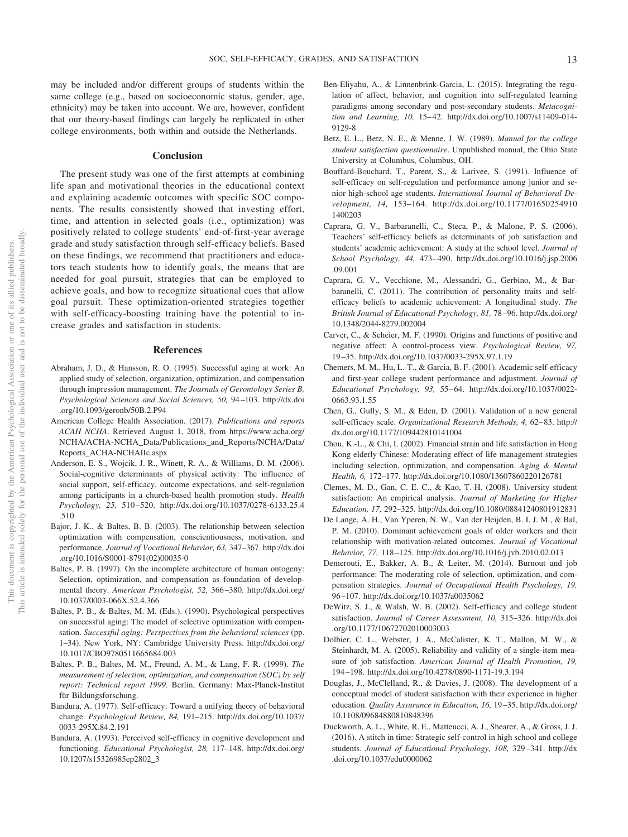may be included and/or different groups of students within the same college (e.g., based on socioeconomic status, gender, age, ethnicity) may be taken into account. We are, however, confident that our theory-based findings can largely be replicated in other college environments, both within and outside the Netherlands.

#### **Conclusion**

The present study was one of the first attempts at combining life span and motivational theories in the educational context and explaining academic outcomes with specific SOC components. The results consistently showed that investing effort, time, and attention in selected goals (i.e., optimization) was positively related to college students' end-of-first-year average grade and study satisfaction through self-efficacy beliefs. Based on these findings, we recommend that practitioners and educators teach students how to identify goals, the means that are needed for goal pursuit, strategies that can be employed to achieve goals, and how to recognize situational cues that allow goal pursuit. These optimization-oriented strategies together with self-efficacy-boosting training have the potential to increase grades and satisfaction in students.

#### **References**

- Abraham, J. D., & Hansson, R. O. (1995). Successful aging at work: An applied study of selection, organization, optimization, and compensation through impression management. *The Journals of Gerontology Series B, Psychological Sciences and Social Sciences, 50,* 94 –103. [http://dx.doi](http://dx.doi.org/10.1093/geronb/50B.2.P94) [.org/10.1093/geronb/50B.2.P94](http://dx.doi.org/10.1093/geronb/50B.2.P94)
- American College Health Association. (2017). *Publications and reports ACAH NCHA*. Retrieved August 1, 2018, from [https://www.acha.org/](https://www.acha.org/NCHA/ACHA-NCHA_Data/Publications_and_Reports/NCHA/Data/Reports_ACHA-NCHAIIc.aspx) [NCHA/ACHA-NCHA\\_Data/Publications\\_and\\_Reports/NCHA/Data/](https://www.acha.org/NCHA/ACHA-NCHA_Data/Publications_and_Reports/NCHA/Data/Reports_ACHA-NCHAIIc.aspx) [Reports\\_ACHA-NCHAIIc.aspx](https://www.acha.org/NCHA/ACHA-NCHA_Data/Publications_and_Reports/NCHA/Data/Reports_ACHA-NCHAIIc.aspx)
- Anderson, E. S., Wojcik, J. R., Winett, R. A., & Williams, D. M. (2006). Social-cognitive determinants of physical activity: The influence of social support, self-efficacy, outcome expectations, and self-regulation among participants in a church-based health promotion study. *Health Psychology, 25,* 510 –520. [http://dx.doi.org/10.1037/0278-6133.25.4](http://dx.doi.org/10.1037/0278-6133.25.4.510) [.510](http://dx.doi.org/10.1037/0278-6133.25.4.510)
- Bajor, J. K., & Baltes, B. B. (2003). The relationship between selection optimization with compensation, conscientiousness, motivation, and performance. *Journal of Vocational Behavior, 63,* 347–367. [http://dx.doi](http://dx.doi.org/10.1016/S0001-8791%2802%2900035-0) [.org/10.1016/S0001-8791\(02\)00035-0](http://dx.doi.org/10.1016/S0001-8791%2802%2900035-0)
- Baltes, P. B. (1997). On the incomplete architecture of human ontogeny: Selection, optimization, and compensation as foundation of developmental theory. *American Psychologist, 52,* 366 –380. [http://dx.doi.org/](http://dx.doi.org/10.1037/0003-066X.52.4.366) [10.1037/0003-066X.52.4.366](http://dx.doi.org/10.1037/0003-066X.52.4.366)
- Baltes, P. B., & Baltes, M. M. (Eds.). (1990). Psychological perspectives on successful aging: The model of selective optimization with compensation. *Successful aging: Perspectives from the behavioral sciences* (pp. 1–34). New York, NY: Cambridge University Press. [http://dx.doi.org/](http://dx.doi.org/10.1017/CBO9780511665684.003) [10.1017/CBO9780511665684.003](http://dx.doi.org/10.1017/CBO9780511665684.003)
- Baltes, P. B., Baltes, M. M., Freund, A. M., & Lang, F. R. (1999). *The measurement of selection, optimization, and compensation (SOC) by self report: Technical report 1999*. Berlin, Germany: Max-Planck-Institut für Bildungsforschung.
- Bandura, A. (1977). Self-efficacy: Toward a unifying theory of behavioral change. *Psychological Review, 84,* 191–215. [http://dx.doi.org/10.1037/](http://dx.doi.org/10.1037/0033-295X.84.2.191) [0033-295X.84.2.191](http://dx.doi.org/10.1037/0033-295X.84.2.191)
- Bandura, A. (1993). Perceived self-efficacy in cognitive development and functioning. *Educational Psychologist, 28,* 117–148. [http://dx.doi.org/](http://dx.doi.org/10.1207/s15326985ep2802_3) [10.1207/s15326985ep2802\\_3](http://dx.doi.org/10.1207/s15326985ep2802_3)
- Ben-Eliyahu, A., & Linnenbrink-Garcia, L. (2015). Integrating the regulation of affect, behavior, and cognition into self-regulated learning paradigms among secondary and post-secondary students. *Metacognition and Learning, 10,* 15– 42. [http://dx.doi.org/10.1007/s11409-014-](http://dx.doi.org/10.1007/s11409-014-9129-8) [9129-8](http://dx.doi.org/10.1007/s11409-014-9129-8)
- Betz, E. L., Betz, N. E., & Menne, J. W. (1989). *Manual for the college student satisfaction questionnaire*. Unpublished manual, the Ohio State University at Columbus, Columbus, OH.
- Bouffard-Bouchard, T., Parent, S., & Larivee, S. (1991). Influence of self-efficacy on self-regulation and performance among junior and senior high-school age students. *International Journal of Behavioral Development, 14,* 153–164. [http://dx.doi.org/10.1177/01650254910](http://dx.doi.org/10.1177/016502549101400203) [1400203](http://dx.doi.org/10.1177/016502549101400203)
- Caprara, G. V., Barbaranelli, C., Steca, P., & Malone, P. S. (2006). Teachers' self-efficacy beliefs as determinants of job satisfaction and students' academic achievement: A study at the school level. *Journal of School Psychology, 44,* 473– 490. [http://dx.doi.org/10.1016/j.jsp.2006](http://dx.doi.org/10.1016/j.jsp.2006.09.001) [.09.001](http://dx.doi.org/10.1016/j.jsp.2006.09.001)
- Caprara, G. V., Vecchione, M., Alessandri, G., Gerbino, M., & Barbaranelli, C. (2011). The contribution of personality traits and selfefficacy beliefs to academic achievement: A longitudinal study. *The British Journal of Educational Psychology, 81,* 78 –96. [http://dx.doi.org/](http://dx.doi.org/10.1348/2044-8279.002004) [10.1348/2044-8279.002004](http://dx.doi.org/10.1348/2044-8279.002004)
- Carver, C., & Scheier, M. F. (1990). Origins and functions of positive and negative affect: A control-process view. *Psychological Review, 97,* 19 –35.<http://dx.doi.org/10.1037/0033-295X.97.1.19>
- Chemers, M. M., Hu, L.-T., & Garcia, B. F. (2001). Academic self-efficacy and first-year college student performance and adjustment. *Journal of Educational Psychology, 93,* 55– 64. [http://dx.doi.org/10.1037/0022-](http://dx.doi.org/10.1037/0022-0663.93.1.55) [0663.93.1.55](http://dx.doi.org/10.1037/0022-0663.93.1.55)
- Chen, G., Gully, S. M., & Eden, D. (2001). Validation of a new general self-efficacy scale. *Organizational Research Methods*, 4, 62-83. [http://](http://dx.doi.org/10.1177/109442810141004) [dx.doi.org/10.1177/109442810141004](http://dx.doi.org/10.1177/109442810141004)
- <span id="page-13-0"></span>Chou, K.-L., & Chi, I. (2002). Financial strain and life satisfaction in Hong Kong elderly Chinese: Moderating effect of life management strategies including selection, optimization, and compensation. *Aging & Mental Health, 6,* 172–177.<http://dx.doi.org/10.1080/13607860220126781>
- Clemes, M. D., Gan, C. E. C., & Kao, T.-H. (2008). University student satisfaction: An empirical analysis. *Journal of Marketing for Higher Education, 17,* 292–325.<http://dx.doi.org/10.1080/08841240801912831>
- De Lange, A. H., Van Yperen, N. W., Van der Heijden, B. I. J. M., & Bal, P. M. (2010). Dominant achievement goals of older workers and their relationship with motivation-related outcomes. *Journal of Vocational Behavior, 77,* 118 –125.<http://dx.doi.org/10.1016/j.jvb.2010.02.013>
- Demerouti, E., Bakker, A. B., & Leiter, M. (2014). Burnout and job performance: The moderating role of selection, optimization, and compensation strategies. *Journal of Occupational Health Psychology, 19,* 96 –107.<http://dx.doi.org/10.1037/a0035062>
- DeWitz, S. J., & Walsh, W. B. (2002). Self-efficacy and college student satisfaction. *Journal of Career Assessment, 10,* 315–326. [http://dx.doi](http://dx.doi.org/10.1177/10672702010003003) [.org/10.1177/10672702010003003](http://dx.doi.org/10.1177/10672702010003003)
- Dolbier, C. L., Webster, J. A., McCalister, K. T., Mallon, M. W., & Steinhardt, M. A. (2005). Reliability and validity of a single-item measure of job satisfaction. *American Journal of Health Promotion, 19,* 194 –198.<http://dx.doi.org/10.4278/0890-1171-19.3.194>
- Douglas, J., McClelland, R., & Davies, J. (2008). The development of a conceptual model of student satisfaction with their experience in higher education. *Quality Assurance in Education, 16,* 19 –35. [http://dx.doi.org/](http://dx.doi.org/10.1108/09684880810848396) [10.1108/09684880810848396](http://dx.doi.org/10.1108/09684880810848396)
- Duckworth, A. L., White, R. E., Matteucci, A. J., Shearer, A., & Gross, J. J. (2016). A stitch in time: Strategic self-control in high school and college students. *Journal of Educational Psychology, 108,* 329 –341. [http://dx](http://dx.doi.org/10.1037/edu0000062) [.doi.org/10.1037/edu0000062](http://dx.doi.org/10.1037/edu0000062)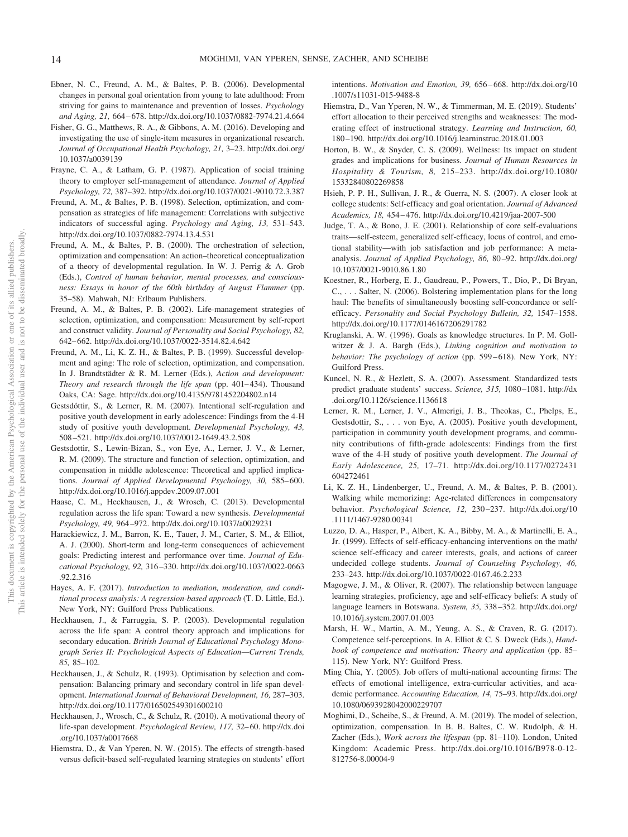- Ebner, N. C., Freund, A. M., & Baltes, P. B. (2006). Developmental changes in personal goal orientation from young to late adulthood: From striving for gains to maintenance and prevention of losses. *Psychology and Aging, 21,* 664 – 678.<http://dx.doi.org/10.1037/0882-7974.21.4.664>
- Fisher, G. G., Matthews, R. A., & Gibbons, A. M. (2016). Developing and investigating the use of single-item measures in organizational research. *Journal of Occupational Health Psychology, 21,* 3–23. [http://dx.doi.org/](http://dx.doi.org/10.1037/a0039139) [10.1037/a0039139](http://dx.doi.org/10.1037/a0039139)
- Frayne, C. A., & Latham, G. P. (1987). Application of social training theory to employer self-management of attendance. *Journal of Applied Psychology, 72,* 387–392.<http://dx.doi.org/10.1037/0021-9010.72.3.387>
- Freund, A. M., & Baltes, P. B. (1998). Selection, optimization, and compensation as strategies of life management: Correlations with subjective indicators of successful aging. *Psychology and Aging, 13,* 531–543. <http://dx.doi.org/10.1037/0882-7974.13.4.531>
- Freund, A. M., & Baltes, P. B. (2000). The orchestration of selection, optimization and compensation: An action–theoretical conceptualization of a theory of developmental regulation. In W. J. Perrig & A. Grob (Eds.), *Control of human behavior, mental processes, and consciousness: Essays in honor of the 60th birthday of August Flammer* (pp. 35–58). Mahwah, NJ: Erlbaum Publishers.
- Freund, A. M., & Baltes, P. B. (2002). Life-management strategies of selection, optimization, and compensation: Measurement by self-report and construct validity. *Journal of Personality and Social Psychology, 82,* 642– 662.<http://dx.doi.org/10.1037/0022-3514.82.4.642>
- Freund, A. M., Li, K. Z. H., & Baltes, P. B. (1999). Successful development and aging: The role of selection, optimization, and compensation. In J. Brandtstädter & R. M. Lerner (Eds.), *Action and development: Theory and research through the life span* (pp. 401-434). Thousand Oaks, CA: Sage.<http://dx.doi.org/10.4135/9781452204802.n14>
- Gestsdóttir, S., & Lerner, R. M. (2007). Intentional self-regulation and positive youth development in early adolescence: Findings from the 4-H study of positive youth development. *Developmental Psychology, 43,* 508 –521.<http://dx.doi.org/10.1037/0012-1649.43.2.508>
- Gestsdottir, S., Lewin-Bizan, S., von Eye, A., Lerner, J. V., & Lerner, R. M. (2009). The structure and function of selection, optimization, and compensation in middle adolescence: Theoretical and applied implications. *Journal of Applied Developmental Psychology, 30, 585-600*. <http://dx.doi.org/10.1016/j.appdev.2009.07.001>
- Haase, C. M., Heckhausen, J., & Wrosch, C. (2013). Developmental regulation across the life span: Toward a new synthesis. *Developmental Psychology, 49,* 964 –972.<http://dx.doi.org/10.1037/a0029231>
- Harackiewicz, J. M., Barron, K. E., Tauer, J. M., Carter, S. M., & Elliot, A. J. (2000). Short-term and long-term consequences of achievement goals: Predicting interest and performance over time. *Journal of Educational Psychology, 92,* 316 –330. [http://dx.doi.org/10.1037/0022-0663](http://dx.doi.org/10.1037/0022-0663.92.2.316) [.92.2.316](http://dx.doi.org/10.1037/0022-0663.92.2.316)
- Hayes, A. F. (2017). *Introduction to mediation, moderation, and conditional process analysis: A regression-based approach* (T. D. Little, Ed.). New York, NY: Guilford Press Publications.
- Heckhausen, J., & Farruggia, S. P. (2003). Developmental regulation across the life span: A control theory approach and implications for secondary education. *British Journal of Educational Psychology Monograph Series II: Psychological Aspects of Education—Current Trends, 85,* 85–102.
- Heckhausen, J., & Schulz, R. (1993). Optimisation by selection and compensation: Balancing primary and secondary control in life span development. *International Journal of Behavioral Development, 16,* 287–303. <http://dx.doi.org/10.1177/016502549301600210>
- Heckhausen, J., Wrosch, C., & Schulz, R. (2010). A motivational theory of life-span development. *Psychological Review, 117, 32*-60. [http://dx.doi](http://dx.doi.org/10.1037/a0017668) [.org/10.1037/a0017668](http://dx.doi.org/10.1037/a0017668)
- Hiemstra, D., & Van Yperen, N. W. (2015). The effects of strength-based versus deficit-based self-regulated learning strategies on students' effort

intentions. *Motivation and Emotion, 39,* 656 – 668. [http://dx.doi.org/10](http://dx.doi.org/10.1007/s11031-015-9488-8) [.1007/s11031-015-9488-8](http://dx.doi.org/10.1007/s11031-015-9488-8)

- Hiemstra, D., Van Yperen, N. W., & Timmerman, M. E. (2019). Students' effort allocation to their perceived strengths and weaknesses: The moderating effect of instructional strategy. *Learning and Instruction, 60,* 180 –190.<http://dx.doi.org/10.1016/j.learninstruc.2018.01.003>
- Horton, B. W., & Snyder, C. S. (2009). Wellness: Its impact on student grades and implications for business. *Journal of Human Resources in Hospitality & Tourism, 8,* 215–233. [http://dx.doi.org/10.1080/](http://dx.doi.org/10.1080/15332840802269858) [15332840802269858](http://dx.doi.org/10.1080/15332840802269858)
- Hsieh, P. P. H., Sullivan, J. R., & Guerra, N. S. (2007). A closer look at college students: Self-efficacy and goal orientation. *Journal of Advanced Academics, 18,* 454 – 476.<http://dx.doi.org/10.4219/jaa-2007-500>
- Judge, T. A., & Bono, J. E. (2001). Relationship of core self-evaluations traits—self-esteem, generalized self-efficacy, locus of control, and emotional stability—with job satisfaction and job performance: A metaanalysis. *Journal of Applied Psychology, 86,* 80 –92. [http://dx.doi.org/](http://dx.doi.org/10.1037/0021-9010.86.1.80) [10.1037/0021-9010.86.1.80](http://dx.doi.org/10.1037/0021-9010.86.1.80)
- Koestner, R., Horberg, E. J., Gaudreau, P., Powers, T., Dio, P., Di Bryan, C., . . . Salter, N. (2006). Bolstering implementation plans for the long haul: The benefits of simultaneously boosting self-concordance or selfefficacy. *Personality and Social Psychology Bulletin, 32,* 1547–1558. <http://dx.doi.org/10.1177/0146167206291782>
- Kruglanski, A. W. (1996). Goals as knowledge structures. In P. M. Gollwitzer & J. A. Bargh (Eds.), *Linking cognition and motivation to behavior: The psychology of action* (pp. 599-618). New York, NY: Guilford Press.
- Kuncel, N. R., & Hezlett, S. A. (2007). Assessment. Standardized tests predict graduate students' success. *Science, 315,* 1080 –1081. [http://dx](http://dx.doi.org/10.1126/science.1136618) [.doi.org/10.1126/science.1136618](http://dx.doi.org/10.1126/science.1136618)
- Lerner, R. M., Lerner, J. V., Almerigi, J. B., Theokas, C., Phelps, E., Gestsdottir, S., . . . von Eye, A. (2005). Positive youth development, participation in community youth development programs, and community contributions of fifth-grade adolescents: Findings from the first wave of the 4-H study of positive youth development. *The Journal of Early Adolescence, 25,* 17–71. [http://dx.doi.org/10.1177/0272431](http://dx.doi.org/10.1177/0272431604272461) [604272461](http://dx.doi.org/10.1177/0272431604272461)
- Li, K. Z. H., Lindenberger, U., Freund, A. M., & Baltes, P. B. (2001). Walking while memorizing: Age-related differences in compensatory behavior. *Psychological Science, 12,* 230 –237. [http://dx.doi.org/10](http://dx.doi.org/10.1111/1467-9280.00341) [.1111/1467-9280.00341](http://dx.doi.org/10.1111/1467-9280.00341)
- Luzzo, D. A., Hasper, P., Albert, K. A., Bibby, M. A., & Martinelli, E. A., Jr. (1999). Effects of self-efficacy-enhancing interventions on the math/ science self-efficacy and career interests, goals, and actions of career undecided college students. *Journal of Counseling Psychology, 46,* 233–243.<http://dx.doi.org/10.1037/0022-0167.46.2.233>
- Magogwe, J. M., & Oliver, R. (2007). The relationship between language learning strategies, proficiency, age and self-efficacy beliefs: A study of language learners in Botswana. *System, 35,* 338 –352. [http://dx.doi.org/](http://dx.doi.org/10.1016/j.system.2007.01.003) [10.1016/j.system.2007.01.003](http://dx.doi.org/10.1016/j.system.2007.01.003)
- Marsh, H. W., Martin, A. M., Yeung, A. S., & Craven, R. G. (2017). Competence self-perceptions. In A. Elliot & C. S. Dweck (Eds.), *Handbook of competence and motivation: Theory and application* (pp. 85– 115). New York, NY: Guilford Press.
- Ming Chia, Y. (2005). Job offers of multi-national accounting firms: The effects of emotional intelligence, extra-curricular activities, and academic performance. *Accounting Education, 14,* 75–93. [http://dx.doi.org/](http://dx.doi.org/10.1080/0693928042000229707) [10.1080/0693928042000229707](http://dx.doi.org/10.1080/0693928042000229707)
- Moghimi, D., Scheibe, S., & Freund, A. M. (2019). The model of selection, optimization, compensation. In B. B. Baltes, C. W. Rudolph, & H. Zacher (Eds.), *Work across the lifespan* (pp. 81–110). London, United Kingdom: Academic Press. [http://dx.doi.org/10.1016/B978-0-12-](http://dx.doi.org/10.1016/B978-0-12-812756-8.00004-9) [812756-8.00004-9](http://dx.doi.org/10.1016/B978-0-12-812756-8.00004-9)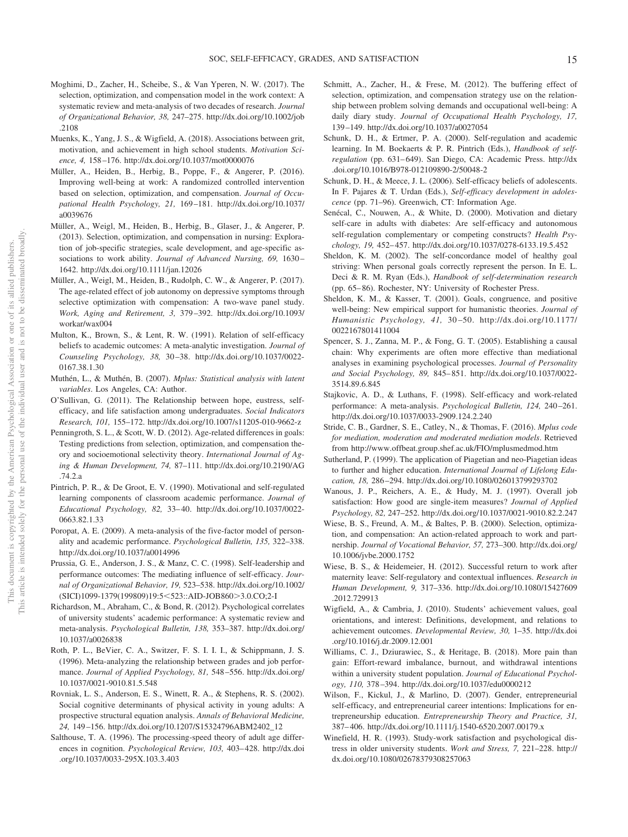- Moghimi, D., Zacher, H., Scheibe, S., & Van Yperen, N. W. (2017). The selection, optimization, and compensation model in the work context: A systematic review and meta-analysis of two decades of research. *Journal of Organizational Behavior, 38,* 247–275. [http://dx.doi.org/10.1002/job](http://dx.doi.org/10.1002/job.2108) [.2108](http://dx.doi.org/10.1002/job.2108)
- Muenks, K., Yang, J. S., & Wigfield, A. (2018). Associations between grit, motivation, and achievement in high school students. *Motivation Science, 4,* 158 –176.<http://dx.doi.org/10.1037/mot0000076>
- Müller, A., Heiden, B., Herbig, B., Poppe, F., & Angerer, P. (2016). Improving well-being at work: A randomized controlled intervention based on selection, optimization, and compensation. *Journal of Occupational Health Psychology, 21,* 169 –181. [http://dx.doi.org/10.1037/](http://dx.doi.org/10.1037/a0039676) [a0039676](http://dx.doi.org/10.1037/a0039676)
- Müller, A., Weigl, M., Heiden, B., Herbig, B., Glaser, J., & Angerer, P. (2013). Selection, optimization, and compensation in nursing: Exploration of job-specific strategies, scale development, and age-specific associations to work ability. *Journal of Advanced Nursing*, 69, 1630– 1642.<http://dx.doi.org/10.1111/jan.12026>
- Müller, A., Weigl, M., Heiden, B., Rudolph, C. W., & Angerer, P. (2017). The age-related effect of job autonomy on depressive symptoms through selective optimization with compensation: A two-wave panel study. *Work, Aging and Retirement, 3,* 379 –392. [http://dx.doi.org/10.1093/](http://dx.doi.org/10.1093/workar/wax004) [workar/wax004](http://dx.doi.org/10.1093/workar/wax004)
- Multon, K., Brown, S., & Lent, R. W. (1991). Relation of self-efficacy beliefs to academic outcomes: A meta-analytic investigation. *Journal of Counseling Psychology, 38,* 30 –38. [http://dx.doi.org/10.1037/0022-](http://dx.doi.org/10.1037/0022-0167.38.1.30) [0167.38.1.30](http://dx.doi.org/10.1037/0022-0167.38.1.30)
- Muthén, L., & Muthén, B. (2007). *Mplus: Statistical analysis with latent variables*. Los Angeles, CA: Author.
- O'Sullivan, G. (2011). The Relationship between hope, eustress, selfefficacy, and life satisfaction among undergraduates. *Social Indicators Research, 101,* 155–172.<http://dx.doi.org/10.1007/s11205-010-9662-z>
- Penningroth, S. L., & Scott, W. D. (2012). Age-related differences in goals: Testing predictions from selection, optimization, and compensation theory and socioemotional selectivity theory. *International Journal of Aging & Human Development, 74,* 87–111. [http://dx.doi.org/10.2190/AG](http://dx.doi.org/10.2190/AG.74.2.a) [.74.2.a](http://dx.doi.org/10.2190/AG.74.2.a)
- Pintrich, P. R., & De Groot, E. V. (1990). Motivational and self-regulated learning components of classroom academic performance. *Journal of Educational Psychology, 82,* 33– 40. [http://dx.doi.org/10.1037/0022-](http://dx.doi.org/10.1037/0022-0663.82.1.33) [0663.82.1.33](http://dx.doi.org/10.1037/0022-0663.82.1.33)
- Poropat, A. E. (2009). A meta-analysis of the five-factor model of personality and academic performance. *Psychological Bulletin, 135,* 322–338. <http://dx.doi.org/10.1037/a0014996>
- Prussia, G. E., Anderson, J. S., & Manz, C. C. (1998). Self-leadership and performance outcomes: The mediating influence of self-efficacy. *Journal of Organizational Behavior, 19,* 523–538. [http://dx.doi.org/10.1002/](http://dx.doi.org/10.1002/%28SICI%291099-1379%28199809%2919:5%3C523::AID-JOB860%3E3.0.CO;2-I) [\(SICI\)1099-1379\(199809\)19:5](http://dx.doi.org/10.1002/%28SICI%291099-1379%28199809%2919:5%3C523::AID-JOB860%3E3.0.CO;2-I)<523::AID-JOB860>3.0.CO;2-I
- Richardson, M., Abraham, C., & Bond, R. (2012). Psychological correlates of university students' academic performance: A systematic review and meta-analysis. *Psychological Bulletin, 138,* 353–387. [http://dx.doi.org/](http://dx.doi.org/10.1037/a0026838) [10.1037/a0026838](http://dx.doi.org/10.1037/a0026838)
- Roth, P. L., BeVier, C. A., Switzer, F. S. I. I. I., & Schippmann, J. S. (1996). Meta-analyzing the relationship between grades and job performance. *Journal of Applied Psychology, 81,* 548 –556. [http://dx.doi.org/](http://dx.doi.org/10.1037/0021-9010.81.5.548) [10.1037/0021-9010.81.5.548](http://dx.doi.org/10.1037/0021-9010.81.5.548)
- Rovniak, L. S., Anderson, E. S., Winett, R. A., & Stephens, R. S. (2002). Social cognitive determinants of physical activity in young adults: A prospective structural equation analysis. *Annals of Behavioral Medicine, 24,* 149 –156. [http://dx.doi.org/10.1207/S15324796ABM2402\\_12](http://dx.doi.org/10.1207/S15324796ABM2402_12)
- Salthouse, T. A. (1996). The processing-speed theory of adult age differences in cognition. *Psychological Review, 103,* 403– 428. [http://dx.doi](http://dx.doi.org/10.1037/0033-295X.103.3.403) [.org/10.1037/0033-295X.103.3.403](http://dx.doi.org/10.1037/0033-295X.103.3.403)
- Schmitt, A., Zacher, H., & Frese, M. (2012). The buffering effect of selection, optimization, and compensation strategy use on the relationship between problem solving demands and occupational well-being: A daily diary study. *Journal of Occupational Health Psychology, 17,* 139 –149.<http://dx.doi.org/10.1037/a0027054>
- Schunk, D. H., & Ertmer, P. A. (2000). Self-regulation and academic learning. In M. Boekaerts & P. R. Pintrich (Eds.), *Handbook of selfregulation* (pp. 631-649). San Diego, CA: Academic Press. [http://dx](http://dx.doi.org/10.1016/B978-012109890-2/50048-2) [.doi.org/10.1016/B978-012109890-2/50048-2](http://dx.doi.org/10.1016/B978-012109890-2/50048-2)
- Schunk, D. H., & Meece, J. L. (2006). Self-efficacy beliefs of adolescents. In F. Pajares & T. Urdan (Eds.), *Self-efficacy development in adolescence* (pp. 71–96). Greenwich, CT: Information Age.
- Senécal, C., Nouwen, A., & White, D. (2000). Motivation and dietary self-care in adults with diabetes: Are self-efficacy and autonomous self-regulation complementary or competing constructs? *Health Psychology, 19,* 452– 457.<http://dx.doi.org/10.1037/0278-6133.19.5.452>
- Sheldon, K. M. (2002). The self-concordance model of healthy goal striving: When personal goals correctly represent the person. In E. L. Deci & R. M. Ryan (Eds.), *Handbook of self-determination research* (pp. 65– 86). Rochester, NY: University of Rochester Press.
- Sheldon, K. M., & Kasser, T. (2001). Goals, congruence, and positive well-being: New empirical support for humanistic theories. *Journal of Humanistic Psychology, 41,* 30 –50. [http://dx.doi.org/10.1177/](http://dx.doi.org/10.1177/0022167801411004) [0022167801411004](http://dx.doi.org/10.1177/0022167801411004)
- Spencer, S. J., Zanna, M. P., & Fong, G. T. (2005). Establishing a causal chain: Why experiments are often more effective than mediational analyses in examining psychological processes. *Journal of Personality and Social Psychology, 89,* 845– 851. [http://dx.doi.org/10.1037/0022-](http://dx.doi.org/10.1037/0022-3514.89.6.845) [3514.89.6.845](http://dx.doi.org/10.1037/0022-3514.89.6.845)
- Stajkovic, A. D., & Luthans, F. (1998). Self-efficacy and work-related performance: A meta-analysis. *Psychological Bulletin, 124,* 240 –261. <http://dx.doi.org/10.1037/0033-2909.124.2.240>
- Stride, C. B., Gardner, S. E., Catley, N., & Thomas, F. (2016). *Mplus code for mediation, moderation and moderated mediation models*. Retrieved from<http://www.offbeat.group.shef.ac.uk/FIO/mplusmedmod.htm>
- Sutherland, P. (1999). The application of Piagetian and neo-Piagetian ideas to further and higher education. *International Journal of Lifelong Education, 18,* 286 –294.<http://dx.doi.org/10.1080/026013799293702>
- Wanous, J. P., Reichers, A. E., & Hudy, M. J. (1997). Overall job satisfaction: How good are single-item measures? *Journal of Applied Psychology, 82,* 247–252.<http://dx.doi.org/10.1037/0021-9010.82.2.247>
- Wiese, B. S., Freund, A. M., & Baltes, P. B. (2000). Selection, optimization, and compensation: An action-related approach to work and partnership. *Journal of Vocational Behavior, 57,* 273–300. [http://dx.doi.org/](http://dx.doi.org/10.1006/jvbe.2000.1752) [10.1006/jvbe.2000.1752](http://dx.doi.org/10.1006/jvbe.2000.1752)
- Wiese, B. S., & Heidemeier, H. (2012). Successful return to work after maternity leave: Self-regulatory and contextual influences. *Research in Human Development, 9,* 317–336. [http://dx.doi.org/10.1080/15427609](http://dx.doi.org/10.1080/15427609.2012.729913) [.2012.729913](http://dx.doi.org/10.1080/15427609.2012.729913)
- Wigfield, A., & Cambria, J. (2010). Students' achievement values, goal orientations, and interest: Definitions, development, and relations to achievement outcomes. *Developmental Review, 30,* 1–35. [http://dx.doi](http://dx.doi.org/10.1016/j.dr.2009.12.001) [.org/10.1016/j.dr.2009.12.001](http://dx.doi.org/10.1016/j.dr.2009.12.001)
- Williams, C. J., Dziurawiec, S., & Heritage, B. (2018). More pain than gain: Effort-reward imbalance, burnout, and withdrawal intentions within a university student population. *Journal of Educational Psychology, 110,* 378 –394.<http://dx.doi.org/10.1037/edu0000212>
- Wilson, F., Kickul, J., & Marlino, D. (2007). Gender, entrepreneurial self-efficacy, and entrepreneurial career intentions: Implications for entrepreneurship education. *Entrepreneurship Theory and Practice, 31,* 387– 406.<http://dx.doi.org/10.1111/j.1540-6520.2007.00179.x>
- Winefield, H. R. (1993). Study-work satisfaction and psychological distress in older university students. *Work and Stress, 7,* 221–228. [http://](http://dx.doi.org/10.1080/02678379308257063) [dx.doi.org/10.1080/02678379308257063](http://dx.doi.org/10.1080/02678379308257063)